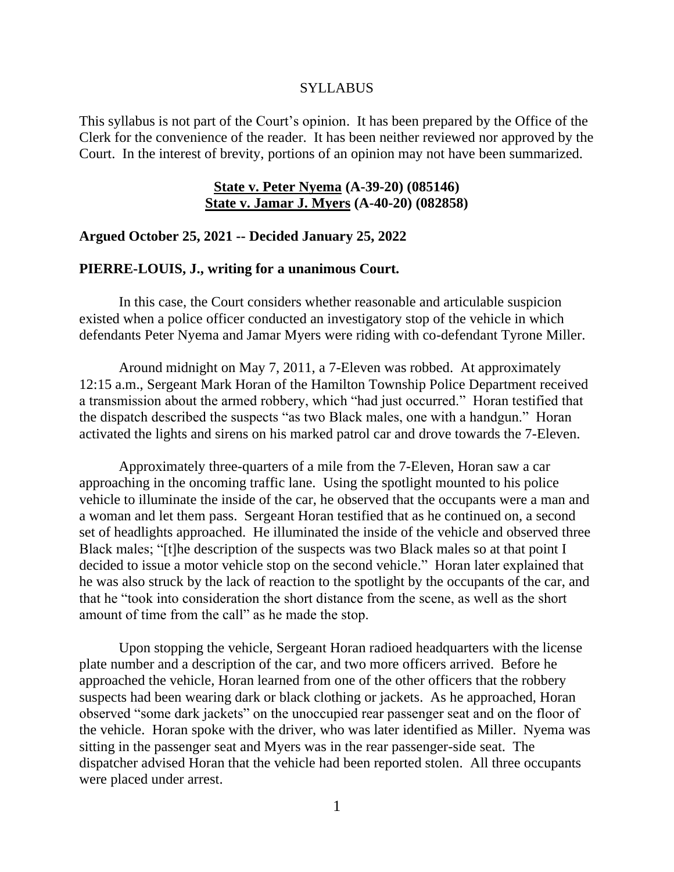### **SYLLABUS**

This syllabus is not part of the Court's opinion. It has been prepared by the Office of the Clerk for the convenience of the reader. It has been neither reviewed nor approved by the Court. In the interest of brevity, portions of an opinion may not have been summarized.

## **State v. Peter Nyema (A-39-20) (085146) State v. Jamar J. Myers (A-40-20) (082858)**

### **Argued October 25, 2021 -- Decided January 25, 2022**

### **PIERRE-LOUIS, J., writing for a unanimous Court.**

In this case, the Court considers whether reasonable and articulable suspicion existed when a police officer conducted an investigatory stop of the vehicle in which defendants Peter Nyema and Jamar Myers were riding with co-defendant Tyrone Miller.

Around midnight on May 7, 2011, a 7-Eleven was robbed. At approximately 12:15 a.m., Sergeant Mark Horan of the Hamilton Township Police Department received a transmission about the armed robbery, which "had just occurred." Horan testified that the dispatch described the suspects "as two Black males, one with a handgun." Horan activated the lights and sirens on his marked patrol car and drove towards the 7-Eleven.

Approximately three-quarters of a mile from the 7-Eleven, Horan saw a car approaching in the oncoming traffic lane. Using the spotlight mounted to his police vehicle to illuminate the inside of the car, he observed that the occupants were a man and a woman and let them pass. Sergeant Horan testified that as he continued on, a second set of headlights approached. He illuminated the inside of the vehicle and observed three Black males; "[t]he description of the suspects was two Black males so at that point I decided to issue a motor vehicle stop on the second vehicle." Horan later explained that he was also struck by the lack of reaction to the spotlight by the occupants of the car, and that he "took into consideration the short distance from the scene, as well as the short amount of time from the call" as he made the stop.

Upon stopping the vehicle, Sergeant Horan radioed headquarters with the license plate number and a description of the car, and two more officers arrived. Before he approached the vehicle, Horan learned from one of the other officers that the robbery suspects had been wearing dark or black clothing or jackets. As he approached, Horan observed "some dark jackets" on the unoccupied rear passenger seat and on the floor of the vehicle. Horan spoke with the driver, who was later identified as Miller. Nyema was sitting in the passenger seat and Myers was in the rear passenger-side seat. The dispatcher advised Horan that the vehicle had been reported stolen. All three occupants were placed under arrest.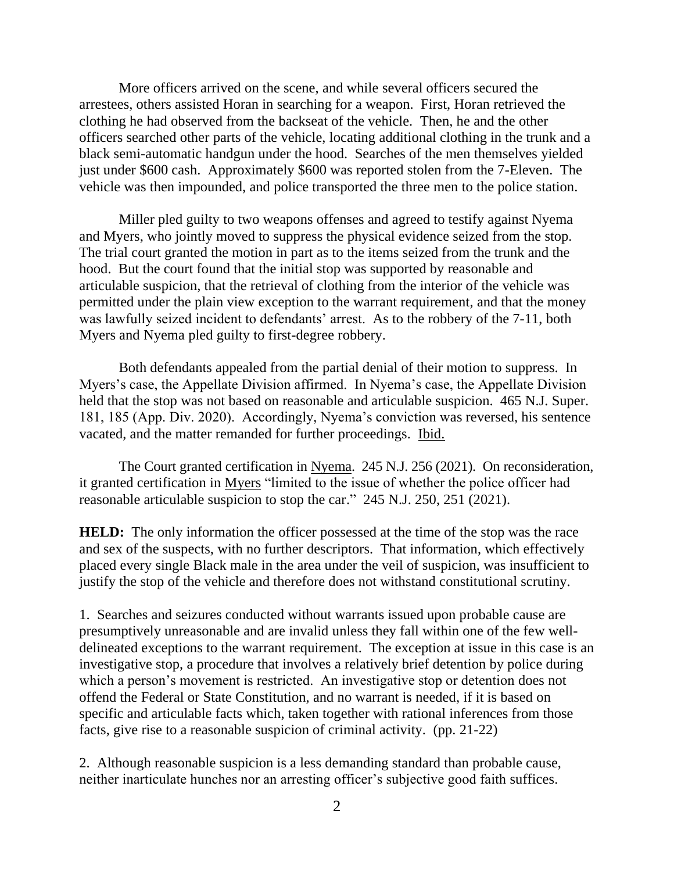More officers arrived on the scene, and while several officers secured the arrestees, others assisted Horan in searching for a weapon. First, Horan retrieved the clothing he had observed from the backseat of the vehicle. Then, he and the other officers searched other parts of the vehicle, locating additional clothing in the trunk and a black semi-automatic handgun under the hood. Searches of the men themselves yielded just under \$600 cash. Approximately \$600 was reported stolen from the 7-Eleven. The vehicle was then impounded, and police transported the three men to the police station.

Miller pled guilty to two weapons offenses and agreed to testify against Nyema and Myers, who jointly moved to suppress the physical evidence seized from the stop. The trial court granted the motion in part as to the items seized from the trunk and the hood. But the court found that the initial stop was supported by reasonable and articulable suspicion, that the retrieval of clothing from the interior of the vehicle was permitted under the plain view exception to the warrant requirement, and that the money was lawfully seized incident to defendants' arrest. As to the robbery of the 7-11, both Myers and Nyema pled guilty to first-degree robbery.

Both defendants appealed from the partial denial of their motion to suppress. In Myers's case, the Appellate Division affirmed. In Nyema's case, the Appellate Division held that the stop was not based on reasonable and articulable suspicion. 465 N.J. Super. 181, 185 (App. Div. 2020). Accordingly, Nyema's conviction was reversed, his sentence vacated, and the matter remanded for further proceedings. Ibid.

The Court granted certification in Nyema. 245 N.J. 256 (2021). On reconsideration, it granted certification in Myers "limited to the issue of whether the police officer had reasonable articulable suspicion to stop the car." 245 N.J. 250, 251 (2021).

**HELD:** The only information the officer possessed at the time of the stop was the race and sex of the suspects, with no further descriptors. That information, which effectively placed every single Black male in the area under the veil of suspicion, was insufficient to justify the stop of the vehicle and therefore does not withstand constitutional scrutiny.

1. Searches and seizures conducted without warrants issued upon probable cause are presumptively unreasonable and are invalid unless they fall within one of the few welldelineated exceptions to the warrant requirement. The exception at issue in this case is an investigative stop, a procedure that involves a relatively brief detention by police during which a person's movement is restricted. An investigative stop or detention does not offend the Federal or State Constitution, and no warrant is needed, if it is based on specific and articulable facts which, taken together with rational inferences from those facts, give rise to a reasonable suspicion of criminal activity. (pp. 21-22)

2. Although reasonable suspicion is a less demanding standard than probable cause, neither inarticulate hunches nor an arresting officer's subjective good faith suffices.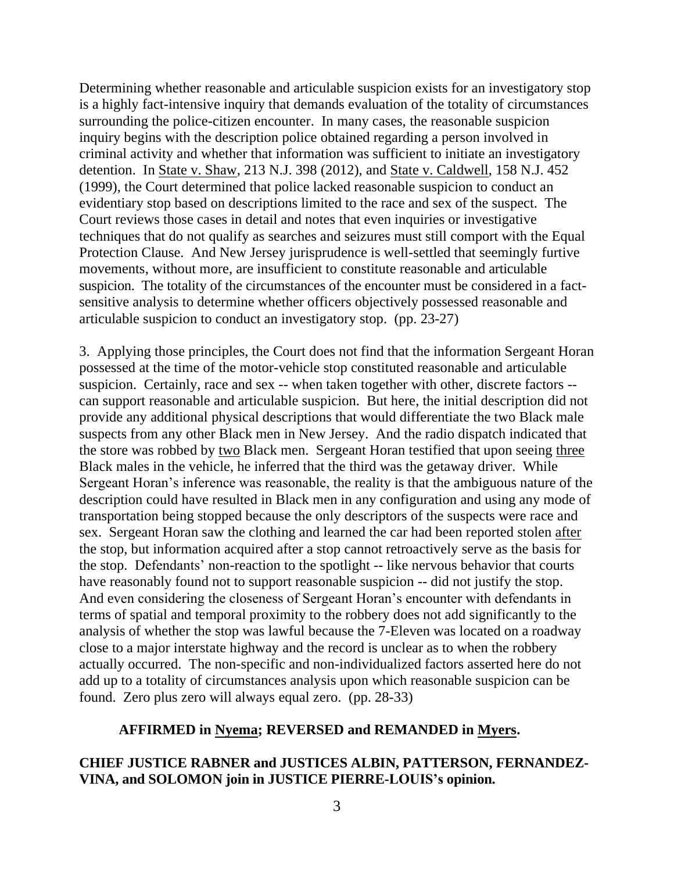Determining whether reasonable and articulable suspicion exists for an investigatory stop is a highly fact-intensive inquiry that demands evaluation of the totality of circumstances surrounding the police-citizen encounter. In many cases, the reasonable suspicion inquiry begins with the description police obtained regarding a person involved in criminal activity and whether that information was sufficient to initiate an investigatory detention. In State v. Shaw, 213 N.J. 398 (2012), and State v. Caldwell, 158 N.J. 452 (1999), the Court determined that police lacked reasonable suspicion to conduct an evidentiary stop based on descriptions limited to the race and sex of the suspect. The Court reviews those cases in detail and notes that even inquiries or investigative techniques that do not qualify as searches and seizures must still comport with the Equal Protection Clause. And New Jersey jurisprudence is well-settled that seemingly furtive movements, without more, are insufficient to constitute reasonable and articulable suspicion. The totality of the circumstances of the encounter must be considered in a factsensitive analysis to determine whether officers objectively possessed reasonable and articulable suspicion to conduct an investigatory stop. (pp. 23-27)

3. Applying those principles, the Court does not find that the information Sergeant Horan possessed at the time of the motor-vehicle stop constituted reasonable and articulable suspicion. Certainly, race and sex -- when taken together with other, discrete factors -can support reasonable and articulable suspicion. But here, the initial description did not provide any additional physical descriptions that would differentiate the two Black male suspects from any other Black men in New Jersey. And the radio dispatch indicated that the store was robbed by two Black men. Sergeant Horan testified that upon seeing three Black males in the vehicle, he inferred that the third was the getaway driver. While Sergeant Horan's inference was reasonable, the reality is that the ambiguous nature of the description could have resulted in Black men in any configuration and using any mode of transportation being stopped because the only descriptors of the suspects were race and sex. Sergeant Horan saw the clothing and learned the car had been reported stolen after the stop, but information acquired after a stop cannot retroactively serve as the basis for the stop. Defendants' non-reaction to the spotlight -- like nervous behavior that courts have reasonably found not to support reasonable suspicion -- did not justify the stop. And even considering the closeness of Sergeant Horan's encounter with defendants in terms of spatial and temporal proximity to the robbery does not add significantly to the analysis of whether the stop was lawful because the 7-Eleven was located on a roadway close to a major interstate highway and the record is unclear as to when the robbery actually occurred. The non-specific and non-individualized factors asserted here do not add up to a totality of circumstances analysis upon which reasonable suspicion can be found. Zero plus zero will always equal zero. (pp. 28-33)

### **AFFIRMED in Nyema; REVERSED and REMANDED in Myers.**

# **CHIEF JUSTICE RABNER and JUSTICES ALBIN, PATTERSON, FERNANDEZ-VINA, and SOLOMON join in JUSTICE PIERRE-LOUIS's opinion.**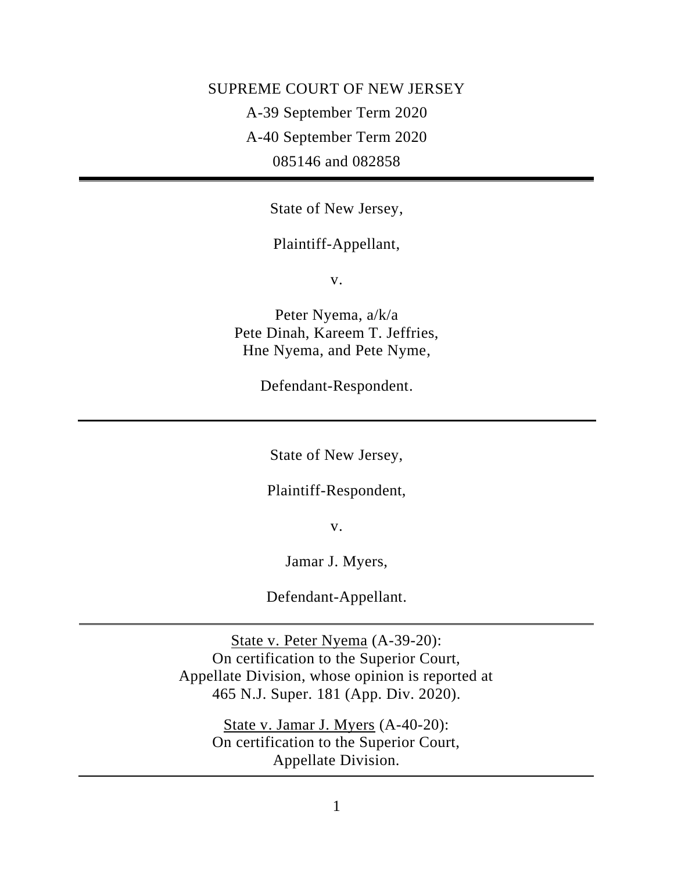SUPREME COURT OF NEW JERSEY A-39 September Term 2020 A-40 September Term 2020 085146 and 082858

State of New Jersey,

Plaintiff-Appellant,

v.

Peter Nyema, a/k/a Pete Dinah, Kareem T. Jeffries, Hne Nyema, and Pete Nyme,

Defendant-Respondent.

State of New Jersey,

Plaintiff-Respondent,

v.

Jamar J. Myers,

Defendant-Appellant.

State v. Peter Nyema (A-39-20): On certification to the Superior Court, Appellate Division, whose opinion is reported at 465 N.J. Super. 181 (App. Div. 2020).

> State v. Jamar J. Myers (A-40-20): On certification to the Superior Court, Appellate Division.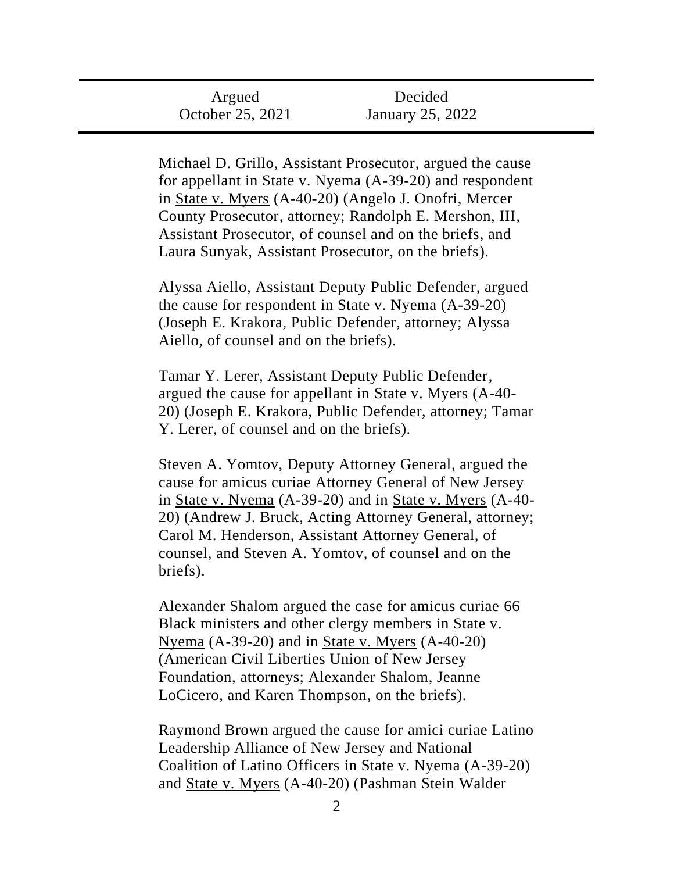| Argued           | Decided          |  |
|------------------|------------------|--|
| October 25, 2021 | January 25, 2022 |  |

Michael D. Grillo, Assistant Prosecutor, argued the cause for appellant in State v. Nyema (A-39-20) and respondent in State v. Myers (A-40-20) (Angelo J. Onofri, Mercer County Prosecutor, attorney; Randolph E. Mershon, III, Assistant Prosecutor, of counsel and on the briefs, and Laura Sunyak, Assistant Prosecutor, on the briefs).

Alyssa Aiello, Assistant Deputy Public Defender, argued the cause for respondent in State v. Nyema (A-39-20) (Joseph E. Krakora, Public Defender, attorney; Alyssa Aiello, of counsel and on the briefs).

Tamar Y. Lerer, Assistant Deputy Public Defender, argued the cause for appellant in State v. Myers (A-40- 20) (Joseph E. Krakora, Public Defender, attorney; Tamar Y. Lerer, of counsel and on the briefs).

Steven A. Yomtov, Deputy Attorney General, argued the cause for amicus curiae Attorney General of New Jersey in State v. Nyema (A-39-20) and in State v. Myers (A-40- 20) (Andrew J. Bruck, Acting Attorney General, attorney; Carol M. Henderson, Assistant Attorney General, of counsel, and Steven A. Yomtov, of counsel and on the briefs).

Alexander Shalom argued the case for amicus curiae 66 Black ministers and other clergy members in State v. Nyema (A-39-20) and in State v. Myers (A-40-20) (American Civil Liberties Union of New Jersey Foundation, attorneys; Alexander Shalom, Jeanne LoCicero, and Karen Thompson, on the briefs).

Raymond Brown argued the cause for amici curiae Latino Leadership Alliance of New Jersey and National Coalition of Latino Officers in State v. Nyema (A-39-20) and State v. Myers (A-40-20) (Pashman Stein Walder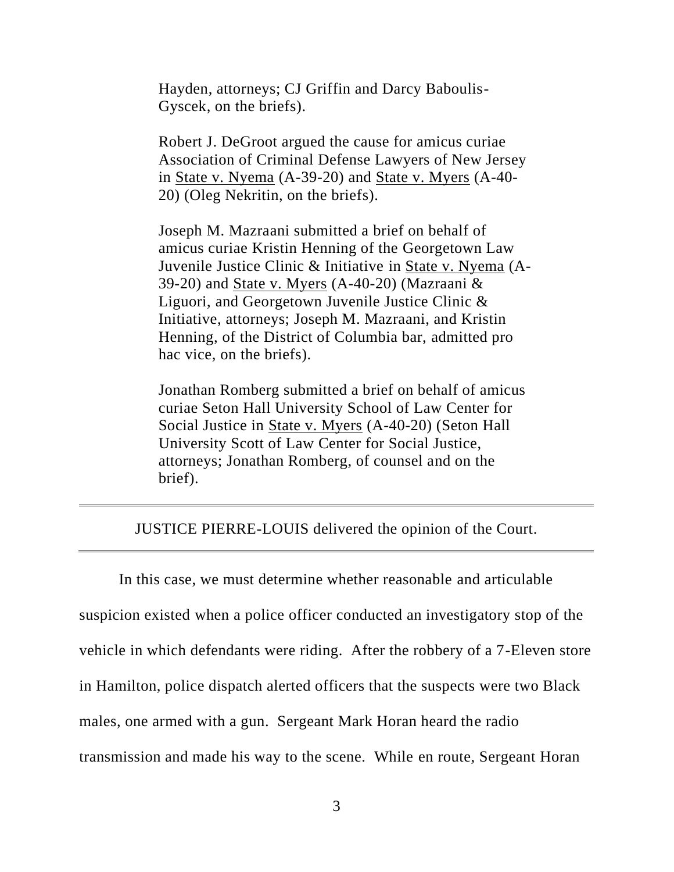Hayden, attorneys; CJ Griffin and Darcy Baboulis-Gyscek, on the briefs).

Robert J. DeGroot argued the cause for amicus curiae Association of Criminal Defense Lawyers of New Jersey in State v. Nyema (A-39-20) and State v. Myers (A-40- 20) (Oleg Nekritin, on the briefs).

Joseph M. Mazraani submitted a brief on behalf of amicus curiae Kristin Henning of the Georgetown Law Juvenile Justice Clinic & Initiative in State v. Nyema (A-39-20) and State v. Myers (A-40-20) (Mazraani  $&$ Liguori, and Georgetown Juvenile Justice Clinic & Initiative, attorneys; Joseph M. Mazraani, and Kristin Henning, of the District of Columbia bar, admitted pro hac vice, on the briefs).

Jonathan Romberg submitted a brief on behalf of amicus curiae Seton Hall University School of Law Center for Social Justice in State v. Myers (A-40-20) (Seton Hall University Scott of Law Center for Social Justice, attorneys; Jonathan Romberg, of counsel and on the brief).

## JUSTICE PIERRE-LOUIS delivered the opinion of the Court.

In this case, we must determine whether reasonable and articulable suspicion existed when a police officer conducted an investigatory stop of the vehicle in which defendants were riding. After the robbery of a 7-Eleven store in Hamilton, police dispatch alerted officers that the suspects were two Black males, one armed with a gun. Sergeant Mark Horan heard the radio transmission and made his way to the scene. While en route, Sergeant Horan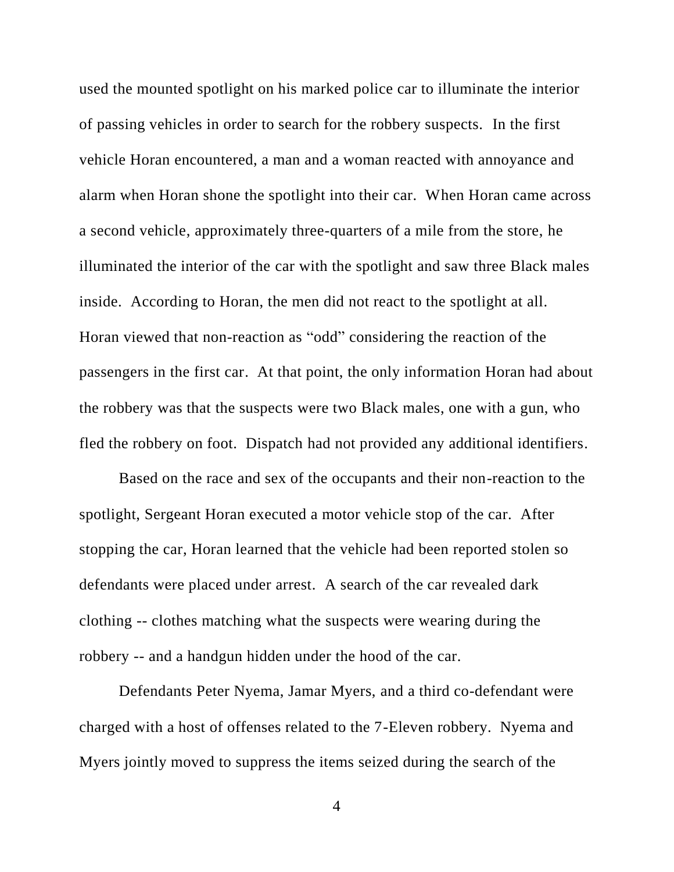used the mounted spotlight on his marked police car to illuminate the interior of passing vehicles in order to search for the robbery suspects. In the first vehicle Horan encountered, a man and a woman reacted with annoyance and alarm when Horan shone the spotlight into their car. When Horan came across a second vehicle, approximately three-quarters of a mile from the store, he illuminated the interior of the car with the spotlight and saw three Black males inside. According to Horan, the men did not react to the spotlight at all. Horan viewed that non-reaction as "odd" considering the reaction of the passengers in the first car. At that point, the only information Horan had about the robbery was that the suspects were two Black males, one with a gun, who fled the robbery on foot. Dispatch had not provided any additional identifiers.

Based on the race and sex of the occupants and their non-reaction to the spotlight, Sergeant Horan executed a motor vehicle stop of the car. After stopping the car, Horan learned that the vehicle had been reported stolen so defendants were placed under arrest. A search of the car revealed dark clothing -- clothes matching what the suspects were wearing during the robbery -- and a handgun hidden under the hood of the car.

Defendants Peter Nyema, Jamar Myers, and a third co-defendant were charged with a host of offenses related to the 7-Eleven robbery. Nyema and Myers jointly moved to suppress the items seized during the search of the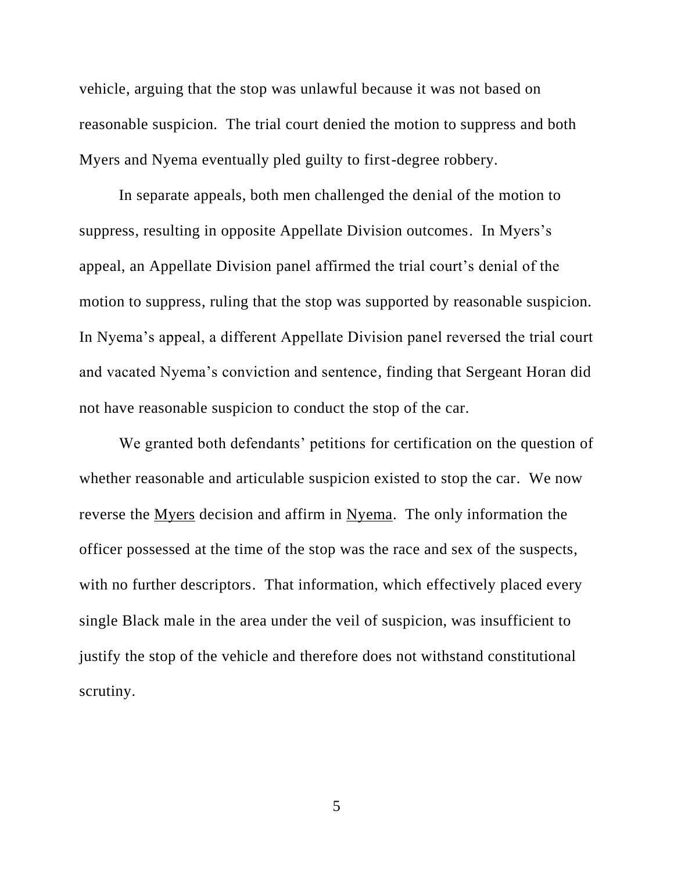vehicle, arguing that the stop was unlawful because it was not based on reasonable suspicion. The trial court denied the motion to suppress and both Myers and Nyema eventually pled guilty to first-degree robbery.

In separate appeals, both men challenged the denial of the motion to suppress, resulting in opposite Appellate Division outcomes. In Myers's appeal, an Appellate Division panel affirmed the trial court's denial of the motion to suppress, ruling that the stop was supported by reasonable suspicion. In Nyema's appeal, a different Appellate Division panel reversed the trial court and vacated Nyema's conviction and sentence, finding that Sergeant Horan did not have reasonable suspicion to conduct the stop of the car.

We granted both defendants' petitions for certification on the question of whether reasonable and articulable suspicion existed to stop the car. We now reverse the Myers decision and affirm in Nyema. The only information the officer possessed at the time of the stop was the race and sex of the suspects, with no further descriptors. That information, which effectively placed every single Black male in the area under the veil of suspicion, was insufficient to justify the stop of the vehicle and therefore does not withstand constitutional scrutiny.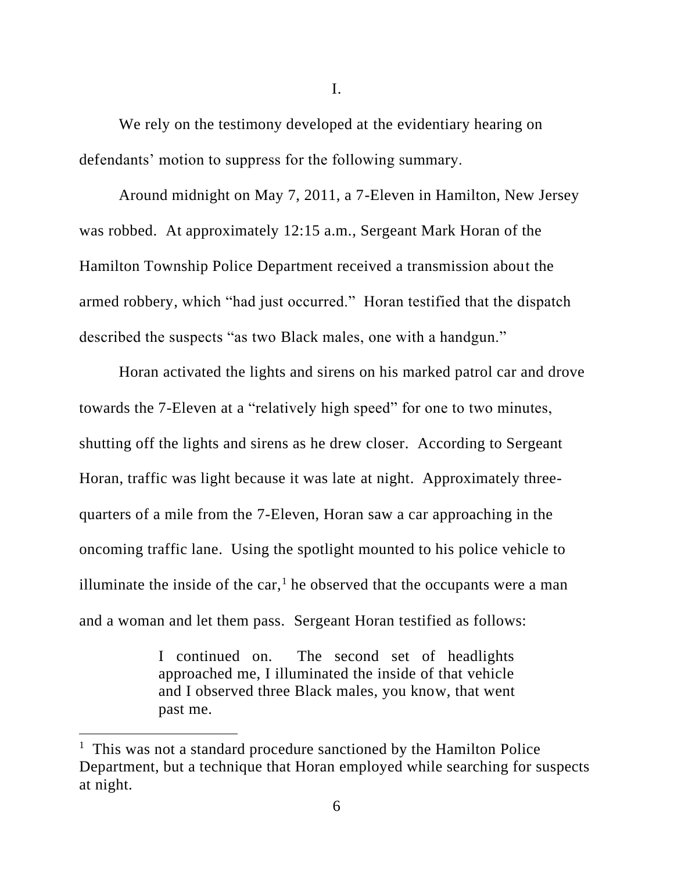We rely on the testimony developed at the evidentiary hearing on defendants' motion to suppress for the following summary.

Around midnight on May 7, 2011, a 7-Eleven in Hamilton, New Jersey was robbed. At approximately 12:15 a.m., Sergeant Mark Horan of the Hamilton Township Police Department received a transmission about the armed robbery, which "had just occurred." Horan testified that the dispatch described the suspects "as two Black males, one with a handgun."

Horan activated the lights and sirens on his marked patrol car and drove towards the 7-Eleven at a "relatively high speed" for one to two minutes, shutting off the lights and sirens as he drew closer. According to Sergeant Horan, traffic was light because it was late at night. Approximately threequarters of a mile from the 7-Eleven, Horan saw a car approaching in the oncoming traffic lane. Using the spotlight mounted to his police vehicle to illuminate the inside of the car, $<sup>1</sup>$  he observed that the occupants were a man</sup> and a woman and let them pass. Sergeant Horan testified as follows:

> I continued on. The second set of headlights approached me, I illuminated the inside of that vehicle and I observed three Black males, you know, that went past me.

<sup>&</sup>lt;sup>1</sup> This was not a standard procedure sanctioned by the Hamilton Police Department, but a technique that Horan employed while searching for suspects at night.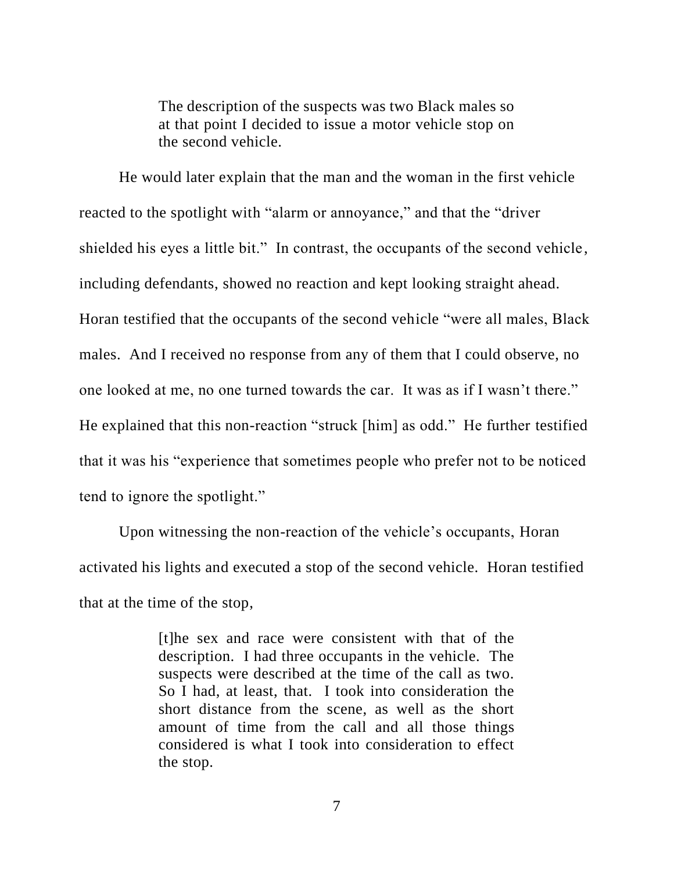The description of the suspects was two Black males so at that point I decided to issue a motor vehicle stop on the second vehicle.

He would later explain that the man and the woman in the first vehicle reacted to the spotlight with "alarm or annoyance," and that the "driver shielded his eyes a little bit." In contrast, the occupants of the second vehicle, including defendants, showed no reaction and kept looking straight ahead. Horan testified that the occupants of the second vehicle "were all males, Black males. And I received no response from any of them that I could observe, no one looked at me, no one turned towards the car. It was as if I wasn't there." He explained that this non-reaction "struck [him] as odd." He further testified that it was his "experience that sometimes people who prefer not to be noticed tend to ignore the spotlight."

Upon witnessing the non-reaction of the vehicle's occupants, Horan activated his lights and executed a stop of the second vehicle. Horan testified that at the time of the stop,

> [t]he sex and race were consistent with that of the description. I had three occupants in the vehicle. The suspects were described at the time of the call as two. So I had, at least, that. I took into consideration the short distance from the scene, as well as the short amount of time from the call and all those things considered is what I took into consideration to effect the stop.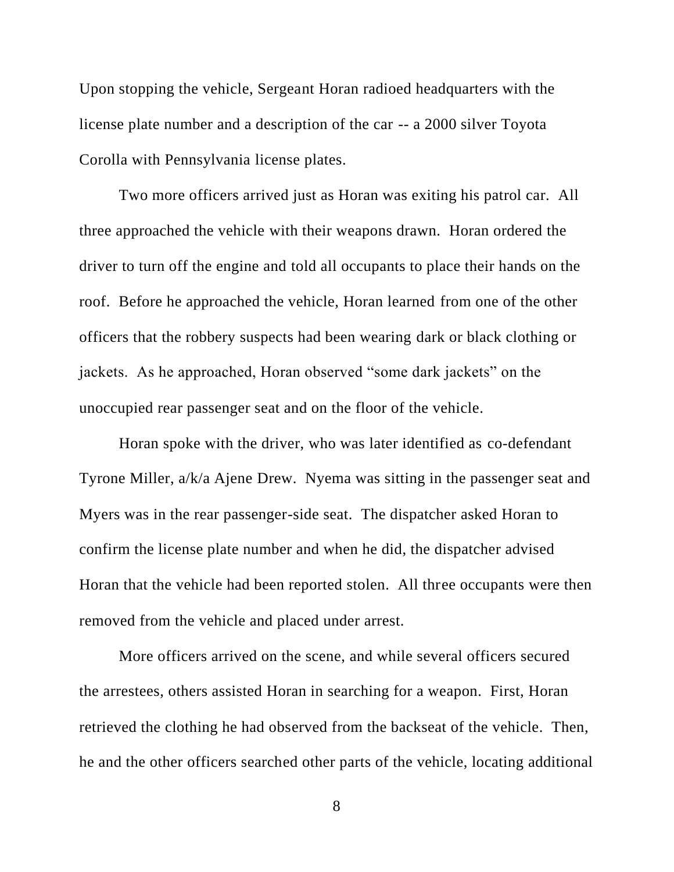Upon stopping the vehicle, Sergeant Horan radioed headquarters with the license plate number and a description of the car -- a 2000 silver Toyota Corolla with Pennsylvania license plates.

Two more officers arrived just as Horan was exiting his patrol car. All three approached the vehicle with their weapons drawn. Horan ordered the driver to turn off the engine and told all occupants to place their hands on the roof. Before he approached the vehicle, Horan learned from one of the other officers that the robbery suspects had been wearing dark or black clothing or jackets. As he approached, Horan observed "some dark jackets" on the unoccupied rear passenger seat and on the floor of the vehicle.

Horan spoke with the driver, who was later identified as co-defendant Tyrone Miller, a/k/a Ajene Drew. Nyema was sitting in the passenger seat and Myers was in the rear passenger-side seat. The dispatcher asked Horan to confirm the license plate number and when he did, the dispatcher advised Horan that the vehicle had been reported stolen. All three occupants were then removed from the vehicle and placed under arrest.

More officers arrived on the scene, and while several officers secured the arrestees, others assisted Horan in searching for a weapon. First, Horan retrieved the clothing he had observed from the backseat of the vehicle. Then, he and the other officers searched other parts of the vehicle, locating additional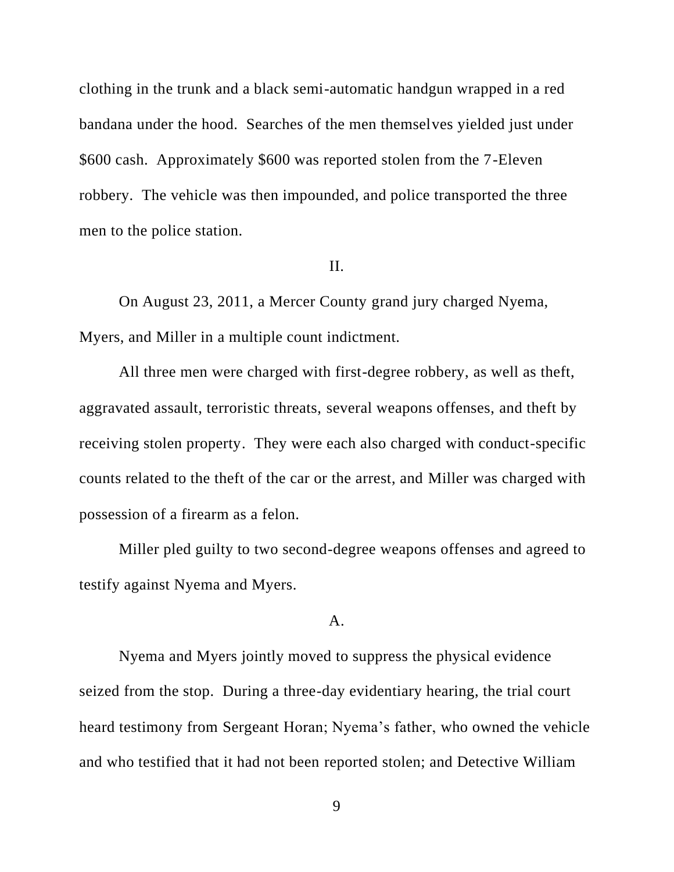clothing in the trunk and a black semi-automatic handgun wrapped in a red bandana under the hood. Searches of the men themselves yielded just under \$600 cash. Approximately \$600 was reported stolen from the 7-Eleven robbery. The vehicle was then impounded, and police transported the three men to the police station.

### II.

On August 23, 2011, a Mercer County grand jury charged Nyema, Myers, and Miller in a multiple count indictment.

All three men were charged with first-degree robbery, as well as theft, aggravated assault, terroristic threats, several weapons offenses, and theft by receiving stolen property. They were each also charged with conduct-specific counts related to the theft of the car or the arrest, and Miller was charged with possession of a firearm as a felon.

Miller pled guilty to two second-degree weapons offenses and agreed to testify against Nyema and Myers.

## A.

Nyema and Myers jointly moved to suppress the physical evidence seized from the stop. During a three-day evidentiary hearing, the trial court heard testimony from Sergeant Horan; Nyema's father, who owned the vehicle and who testified that it had not been reported stolen; and Detective William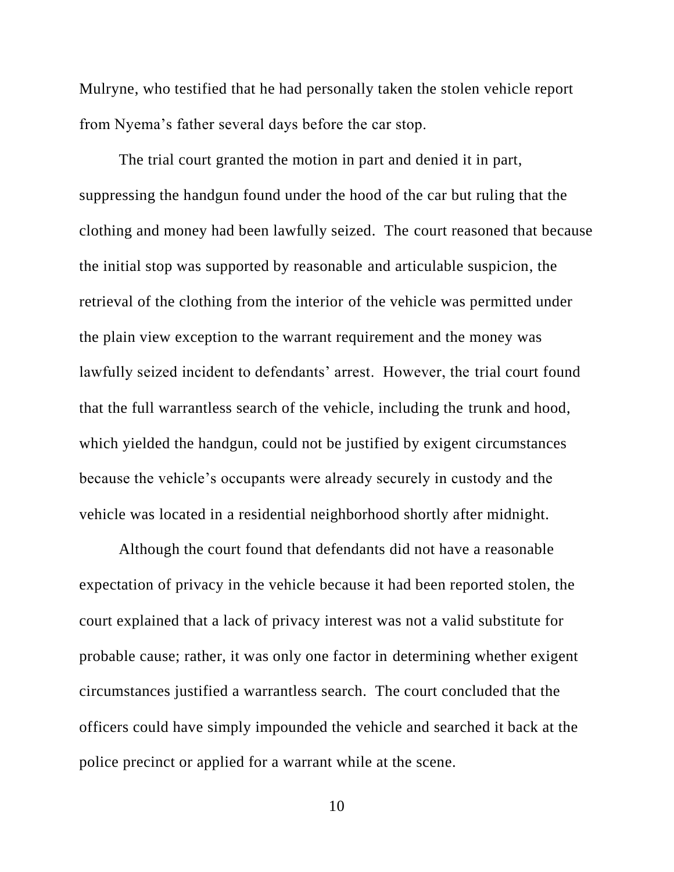Mulryne, who testified that he had personally taken the stolen vehicle report from Nyema's father several days before the car stop.

The trial court granted the motion in part and denied it in part, suppressing the handgun found under the hood of the car but ruling that the clothing and money had been lawfully seized. The court reasoned that because the initial stop was supported by reasonable and articulable suspicion, the retrieval of the clothing from the interior of the vehicle was permitted under the plain view exception to the warrant requirement and the money was lawfully seized incident to defendants' arrest. However, the trial court found that the full warrantless search of the vehicle, including the trunk and hood, which yielded the handgun, could not be justified by exigent circumstances because the vehicle's occupants were already securely in custody and the vehicle was located in a residential neighborhood shortly after midnight.

Although the court found that defendants did not have a reasonable expectation of privacy in the vehicle because it had been reported stolen, the court explained that a lack of privacy interest was not a valid substitute for probable cause; rather, it was only one factor in determining whether exigent circumstances justified a warrantless search. The court concluded that the officers could have simply impounded the vehicle and searched it back at the police precinct or applied for a warrant while at the scene.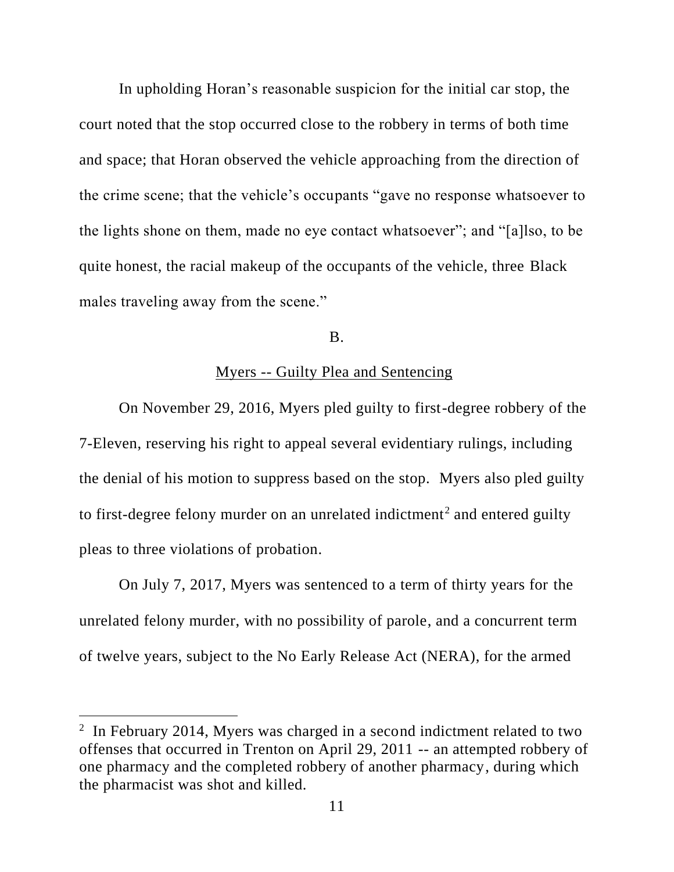In upholding Horan's reasonable suspicion for the initial car stop, the court noted that the stop occurred close to the robbery in terms of both time and space; that Horan observed the vehicle approaching from the direction of the crime scene; that the vehicle's occupants "gave no response whatsoever to the lights shone on them, made no eye contact whatsoever"; and "[a]lso, to be quite honest, the racial makeup of the occupants of the vehicle, three Black males traveling away from the scene."

## B.

# Myers -- Guilty Plea and Sentencing

On November 29, 2016, Myers pled guilty to first-degree robbery of the 7-Eleven, reserving his right to appeal several evidentiary rulings, including the denial of his motion to suppress based on the stop. Myers also pled guilty to first-degree felony murder on an unrelated indictment<sup>2</sup> and entered guilty pleas to three violations of probation.

On July 7, 2017, Myers was sentenced to a term of thirty years for the unrelated felony murder, with no possibility of parole, and a concurrent term of twelve years, subject to the No Early Release Act (NERA), for the armed

<sup>&</sup>lt;sup>2</sup> In February 2014, Myers was charged in a second indictment related to two offenses that occurred in Trenton on April 29, 2011 -- an attempted robbery of one pharmacy and the completed robbery of another pharmacy, during which the pharmacist was shot and killed.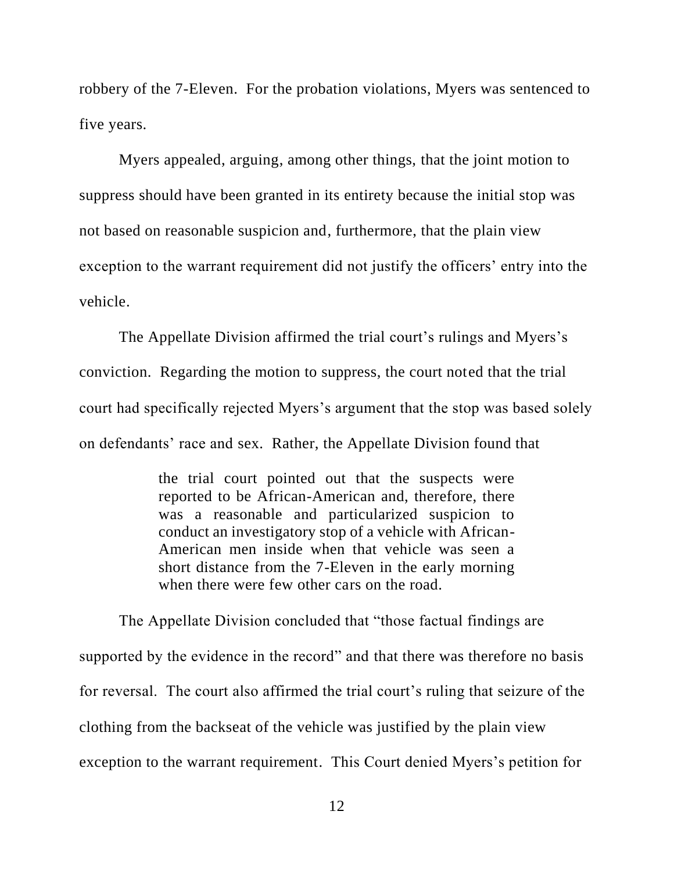robbery of the 7-Eleven. For the probation violations, Myers was sentenced to five years.

Myers appealed, arguing, among other things, that the joint motion to suppress should have been granted in its entirety because the initial stop was not based on reasonable suspicion and, furthermore, that the plain view exception to the warrant requirement did not justify the officers' entry into the vehicle.

The Appellate Division affirmed the trial court's rulings and Myers's conviction. Regarding the motion to suppress, the court noted that the trial court had specifically rejected Myers's argument that the stop was based solely on defendants' race and sex. Rather, the Appellate Division found that

> the trial court pointed out that the suspects were reported to be African-American and, therefore, there was a reasonable and particularized suspicion to conduct an investigatory stop of a vehicle with African-American men inside when that vehicle was seen a short distance from the 7-Eleven in the early morning when there were few other cars on the road.

The Appellate Division concluded that "those factual findings are supported by the evidence in the record" and that there was therefore no basis for reversal. The court also affirmed the trial court's ruling that seizure of the clothing from the backseat of the vehicle was justified by the plain view exception to the warrant requirement. This Court denied Myers's petition for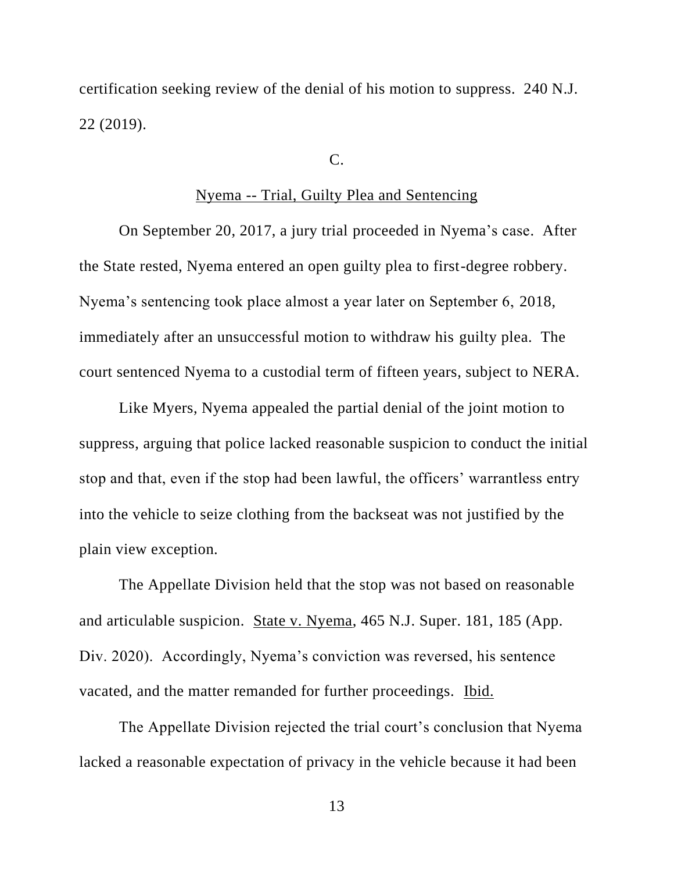certification seeking review of the denial of his motion to suppress. 240 N.J. 22 (2019).

### C.

## Nyema -- Trial, Guilty Plea and Sentencing

On September 20, 2017, a jury trial proceeded in Nyema's case. After the State rested, Nyema entered an open guilty plea to first-degree robbery. Nyema's sentencing took place almost a year later on September 6, 2018, immediately after an unsuccessful motion to withdraw his guilty plea. The court sentenced Nyema to a custodial term of fifteen years, subject to NERA.

Like Myers, Nyema appealed the partial denial of the joint motion to suppress, arguing that police lacked reasonable suspicion to conduct the initial stop and that, even if the stop had been lawful, the officers' warrantless entry into the vehicle to seize clothing from the backseat was not justified by the plain view exception.

The Appellate Division held that the stop was not based on reasonable and articulable suspicion. State v. Nyema, 465 N.J. Super. 181, 185 (App. Div. 2020). Accordingly, Nyema's conviction was reversed, his sentence vacated, and the matter remanded for further proceedings. Ibid.

The Appellate Division rejected the trial court's conclusion that Nyema lacked a reasonable expectation of privacy in the vehicle because it had been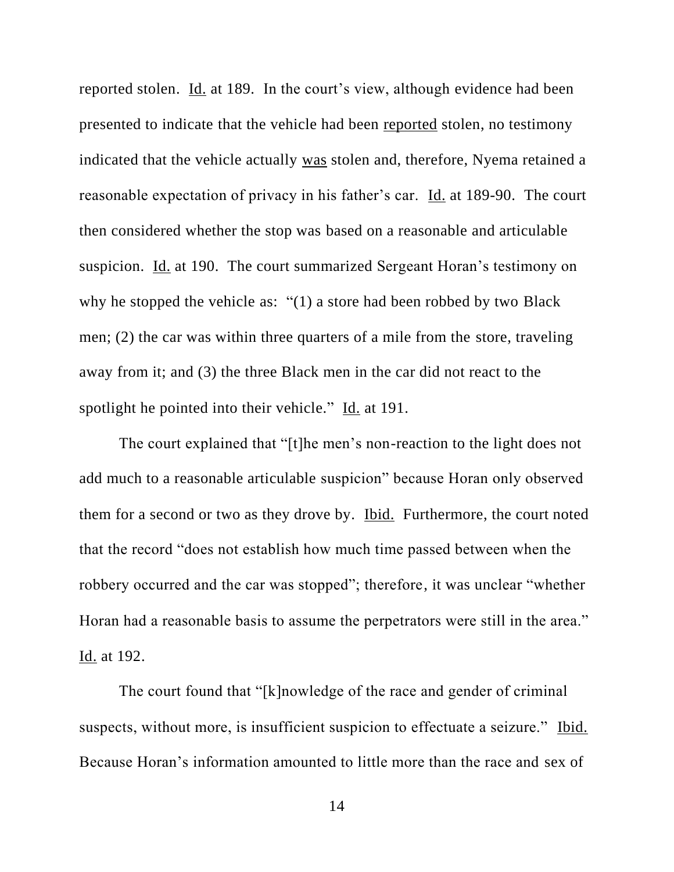reported stolen. Id. at 189. In the court's view, although evidence had been presented to indicate that the vehicle had been reported stolen, no testimony indicated that the vehicle actually was stolen and, therefore, Nyema retained a reasonable expectation of privacy in his father's car. Id. at 189-90. The court then considered whether the stop was based on a reasonable and articulable suspicion. Id. at 190. The court summarized Sergeant Horan's testimony on why he stopped the vehicle as: "(1) a store had been robbed by two Black men; (2) the car was within three quarters of a mile from the store, traveling away from it; and (3) the three Black men in the car did not react to the spotlight he pointed into their vehicle." Id. at 191.

The court explained that "[t]he men's non-reaction to the light does not add much to a reasonable articulable suspicion" because Horan only observed them for a second or two as they drove by. Ibid. Furthermore, the court noted that the record "does not establish how much time passed between when the robbery occurred and the car was stopped"; therefore, it was unclear "whether Horan had a reasonable basis to assume the perpetrators were still in the area." Id. at 192.

The court found that "[k]nowledge of the race and gender of criminal suspects, without more, is insufficient suspicion to effectuate a seizure." Ibid. Because Horan's information amounted to little more than the race and sex of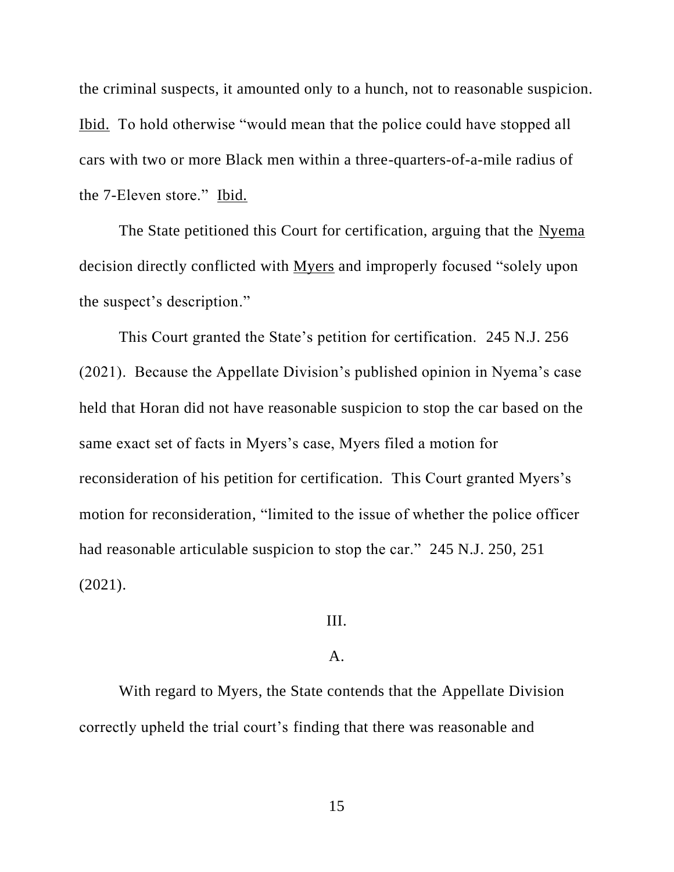the criminal suspects, it amounted only to a hunch, not to reasonable suspicion. Ibid. To hold otherwise "would mean that the police could have stopped all cars with two or more Black men within a three-quarters-of-a-mile radius of the 7-Eleven store." Ibid.

The State petitioned this Court for certification, arguing that the Nyema decision directly conflicted with Myers and improperly focused "solely upon the suspect's description."

This Court granted the State's petition for certification. 245 N.J. 256 (2021). Because the Appellate Division's published opinion in Nyema's case held that Horan did not have reasonable suspicion to stop the car based on the same exact set of facts in Myers's case, Myers filed a motion for reconsideration of his petition for certification. This Court granted Myers's motion for reconsideration, "limited to the issue of whether the police officer had reasonable articulable suspicion to stop the car." 245 N.J. 250, 251 (2021).

## III.

# $\mathbf{A}$ .

With regard to Myers, the State contends that the Appellate Division correctly upheld the trial court's finding that there was reasonable and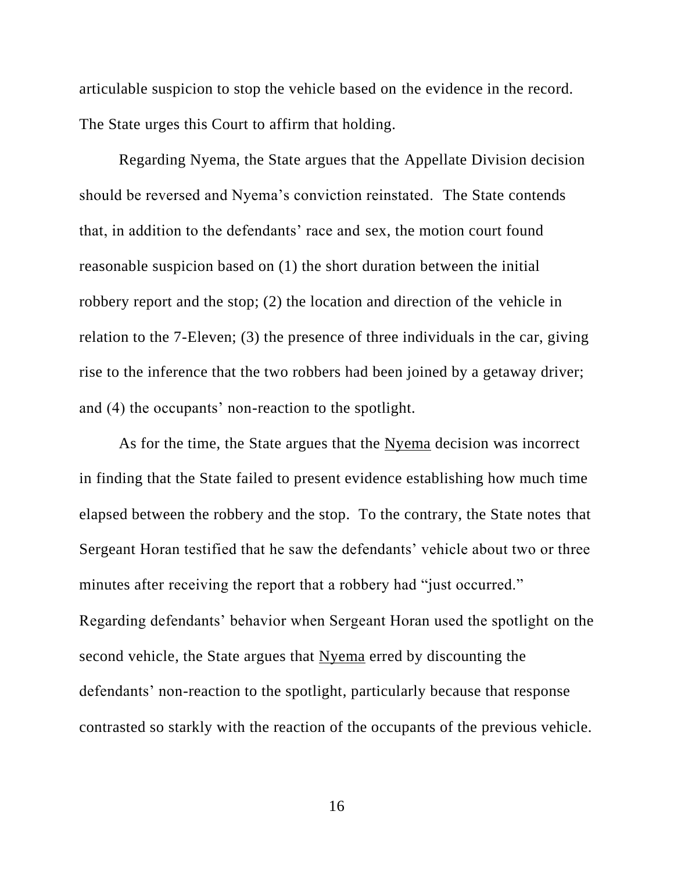articulable suspicion to stop the vehicle based on the evidence in the record. The State urges this Court to affirm that holding.

Regarding Nyema, the State argues that the Appellate Division decision should be reversed and Nyema's conviction reinstated. The State contends that, in addition to the defendants' race and sex, the motion court found reasonable suspicion based on (1) the short duration between the initial robbery report and the stop; (2) the location and direction of the vehicle in relation to the 7-Eleven; (3) the presence of three individuals in the car, giving rise to the inference that the two robbers had been joined by a getaway driver; and (4) the occupants' non-reaction to the spotlight.

As for the time, the State argues that the Nyema decision was incorrect in finding that the State failed to present evidence establishing how much time elapsed between the robbery and the stop. To the contrary, the State notes that Sergeant Horan testified that he saw the defendants' vehicle about two or three minutes after receiving the report that a robbery had "just occurred." Regarding defendants' behavior when Sergeant Horan used the spotlight on the second vehicle, the State argues that Nyema erred by discounting the defendants' non-reaction to the spotlight, particularly because that response contrasted so starkly with the reaction of the occupants of the previous vehicle.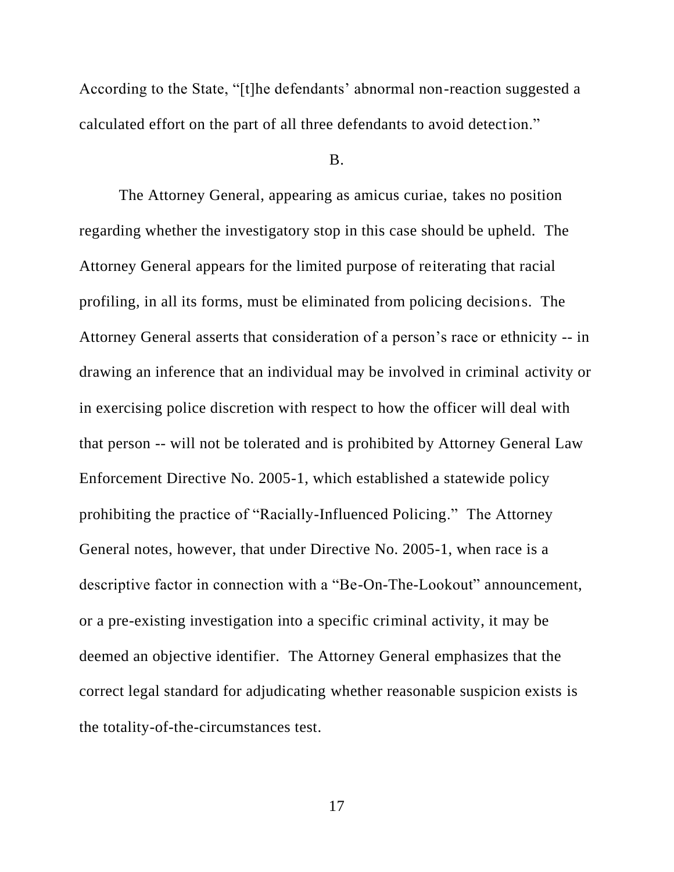According to the State, "[t]he defendants' abnormal non-reaction suggested a calculated effort on the part of all three defendants to avoid detection."

### B.

The Attorney General, appearing as amicus curiae, takes no position regarding whether the investigatory stop in this case should be upheld. The Attorney General appears for the limited purpose of reiterating that racial profiling, in all its forms, must be eliminated from policing decisions. The Attorney General asserts that consideration of a person's race or ethnicity -- in drawing an inference that an individual may be involved in criminal activity or in exercising police discretion with respect to how the officer will deal with that person -- will not be tolerated and is prohibited by Attorney General Law Enforcement Directive No. 2005-1, which established a statewide policy prohibiting the practice of "Racially-Influenced Policing." The Attorney General notes, however, that under Directive No. 2005-1, when race is a descriptive factor in connection with a "Be-On-The-Lookout" announcement, or a pre-existing investigation into a specific criminal activity, it may be deemed an objective identifier. The Attorney General emphasizes that the correct legal standard for adjudicating whether reasonable suspicion exists is the totality-of-the-circumstances test.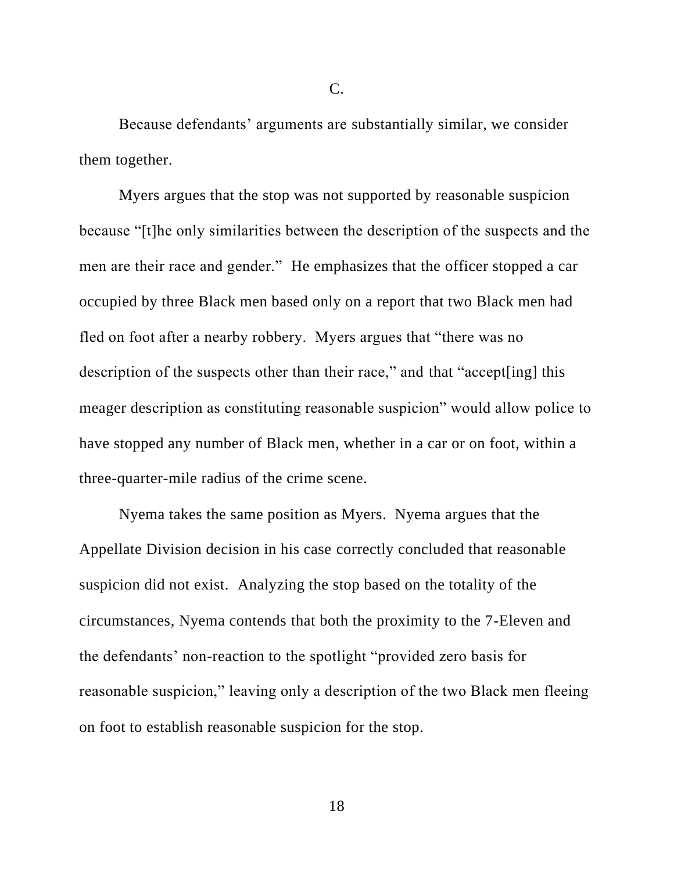Because defendants' arguments are substantially similar, we consider them together.

Myers argues that the stop was not supported by reasonable suspicion because "[t]he only similarities between the description of the suspects and the men are their race and gender." He emphasizes that the officer stopped a car occupied by three Black men based only on a report that two Black men had fled on foot after a nearby robbery. Myers argues that "there was no description of the suspects other than their race," and that "accept [ing] this meager description as constituting reasonable suspicion" would allow police to have stopped any number of Black men, whether in a car or on foot, within a three-quarter-mile radius of the crime scene.

Nyema takes the same position as Myers. Nyema argues that the Appellate Division decision in his case correctly concluded that reasonable suspicion did not exist. Analyzing the stop based on the totality of the circumstances, Nyema contends that both the proximity to the 7-Eleven and the defendants' non-reaction to the spotlight "provided zero basis for reasonable suspicion," leaving only a description of the two Black men fleeing on foot to establish reasonable suspicion for the stop.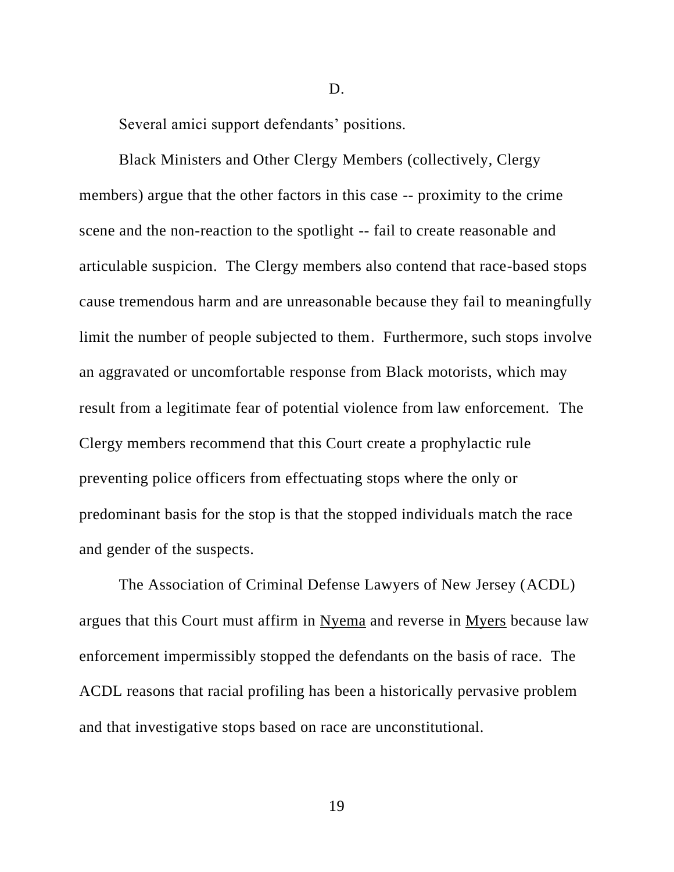Several amici support defendants' positions.

Black Ministers and Other Clergy Members (collectively, Clergy members) argue that the other factors in this case -- proximity to the crime scene and the non-reaction to the spotlight -- fail to create reasonable and articulable suspicion. The Clergy members also contend that race-based stops cause tremendous harm and are unreasonable because they fail to meaningfully limit the number of people subjected to them. Furthermore, such stops involve an aggravated or uncomfortable response from Black motorists, which may result from a legitimate fear of potential violence from law enforcement. The Clergy members recommend that this Court create a prophylactic rule preventing police officers from effectuating stops where the only or predominant basis for the stop is that the stopped individuals match the race and gender of the suspects.

D.

The Association of Criminal Defense Lawyers of New Jersey (ACDL) argues that this Court must affirm in Nyema and reverse in Myers because law enforcement impermissibly stopped the defendants on the basis of race. The ACDL reasons that racial profiling has been a historically pervasive problem and that investigative stops based on race are unconstitutional.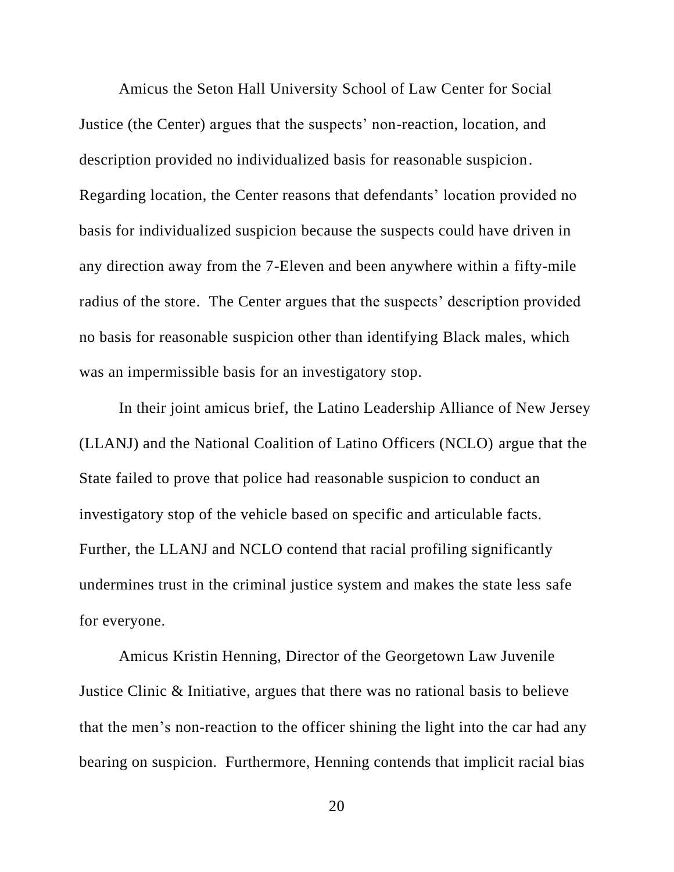Amicus the Seton Hall University School of Law Center for Social Justice (the Center) argues that the suspects' non-reaction, location, and description provided no individualized basis for reasonable suspicion. Regarding location, the Center reasons that defendants' location provided no basis for individualized suspicion because the suspects could have driven in any direction away from the 7-Eleven and been anywhere within a fifty-mile radius of the store. The Center argues that the suspects' description provided no basis for reasonable suspicion other than identifying Black males, which was an impermissible basis for an investigatory stop.

In their joint amicus brief, the Latino Leadership Alliance of New Jersey (LLANJ) and the National Coalition of Latino Officers (NCLO) argue that the State failed to prove that police had reasonable suspicion to conduct an investigatory stop of the vehicle based on specific and articulable facts. Further, the LLANJ and NCLO contend that racial profiling significantly undermines trust in the criminal justice system and makes the state less safe for everyone.

Amicus Kristin Henning, Director of the Georgetown Law Juvenile Justice Clinic & Initiative, argues that there was no rational basis to believe that the men's non-reaction to the officer shining the light into the car had any bearing on suspicion. Furthermore, Henning contends that implicit racial bias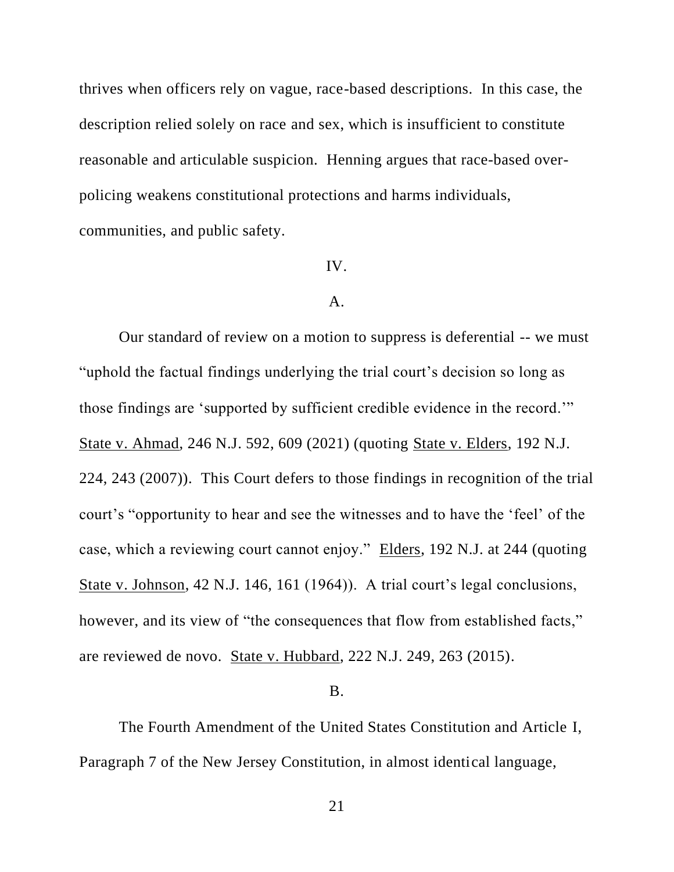thrives when officers rely on vague, race-based descriptions. In this case, the description relied solely on race and sex, which is insufficient to constitute reasonable and articulable suspicion. Henning argues that race-based overpolicing weakens constitutional protections and harms individuals, communities, and public safety.

### IV.

### A.

Our standard of review on a motion to suppress is deferential -- we must "uphold the factual findings underlying the trial court's decision so long as those findings are 'supported by sufficient credible evidence in the record.'" State v. Ahmad, 246 N.J. 592, 609 (2021) (quoting State v. Elders, 192 N.J. 224, 243 (2007)). This Court defers to those findings in recognition of the trial court's "opportunity to hear and see the witnesses and to have the 'feel' of the case, which a reviewing court cannot enjoy." Elders, 192 N.J. at 244 (quoting State v. Johnson, 42 N.J. 146, 161 (1964)). A trial court's legal conclusions, however, and its view of "the consequences that flow from established facts," are reviewed de novo. State v. Hubbard, 222 N.J. 249, 263 (2015).

## B.

The Fourth Amendment of the United States Constitution and Article I, Paragraph 7 of the New Jersey Constitution, in almost identical language,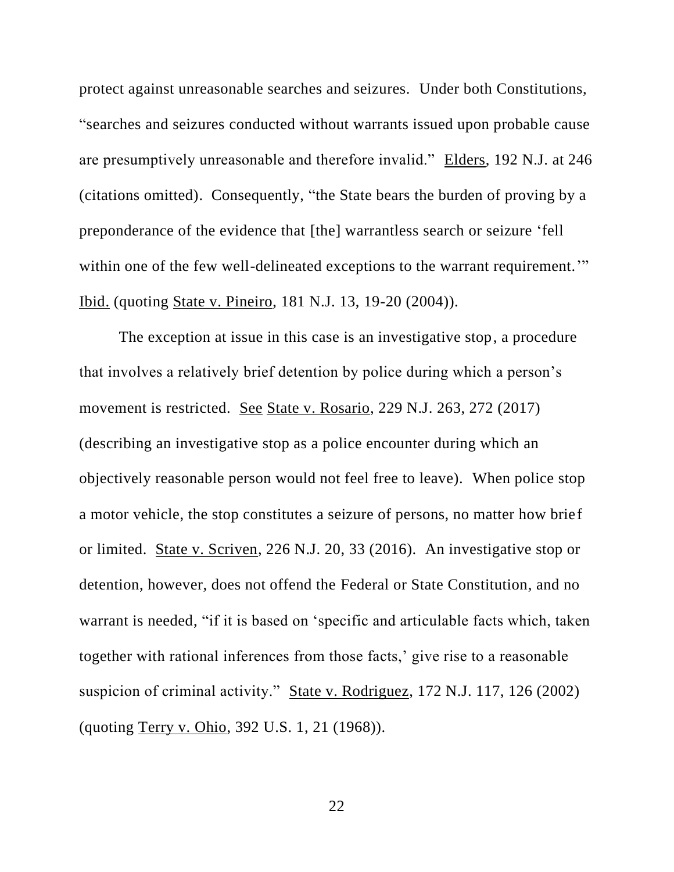protect against unreasonable searches and seizures. Under both Constitutions, "searches and seizures conducted without warrants issued upon probable cause are presumptively unreasonable and therefore invalid." Elders, 192 N.J. at 246 (citations omitted). Consequently, "the State bears the burden of proving by a preponderance of the evidence that [the] warrantless search or seizure 'fell within one of the few well-delineated exceptions to the warrant requirement." Ibid. (quoting State v. Pineiro, 181 N.J. 13, 19-20 (2004)).

The exception at issue in this case is an investigative stop, a procedure that involves a relatively brief detention by police during which a person's movement is restricted. See State v. Rosario, 229 N.J. 263, 272 (2017) (describing an investigative stop as a police encounter during which an objectively reasonable person would not feel free to leave). When police stop a motor vehicle, the stop constitutes a seizure of persons, no matter how brief or limited. State v. Scriven, 226 N.J. 20, 33 (2016). An investigative stop or detention, however, does not offend the Federal or State Constitution, and no warrant is needed, "if it is based on 'specific and articulable facts which, taken together with rational inferences from those facts,' give rise to a reasonable suspicion of criminal activity." State v. Rodriguez, 172 N.J. 117, 126 (2002) (quoting Terry v. Ohio, 392 U.S. 1, 21 (1968)).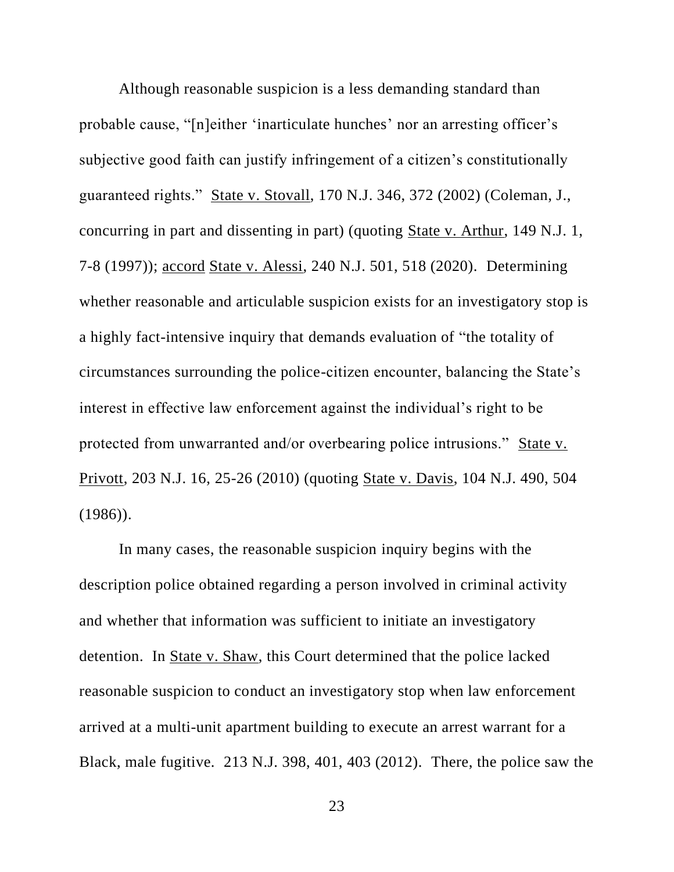Although reasonable suspicion is a less demanding standard than probable cause, "[n]either 'inarticulate hunches' nor an arresting officer's subjective good faith can justify infringement of a citizen's constitutionally guaranteed rights." State v. Stovall, 170 N.J. 346, 372 (2002) (Coleman, J., concurring in part and dissenting in part) (quoting State v. Arthur, 149 N.J. 1, 7-8 (1997)); accord State v. Alessi, 240 N.J. 501, 518 (2020). Determining whether reasonable and articulable suspicion exists for an investigatory stop is a highly fact-intensive inquiry that demands evaluation of "the totality of circumstances surrounding the police-citizen encounter, balancing the State's interest in effective law enforcement against the individual's right to be protected from unwarranted and/or overbearing police intrusions." State v. Privott, 203 N.J. 16, 25-26 (2010) (quoting State v. Davis, 104 N.J. 490, 504 (1986)).

In many cases, the reasonable suspicion inquiry begins with the description police obtained regarding a person involved in criminal activity and whether that information was sufficient to initiate an investigatory detention. In State v. Shaw, this Court determined that the police lacked reasonable suspicion to conduct an investigatory stop when law enforcement arrived at a multi-unit apartment building to execute an arrest warrant for a Black, male fugitive. 213 N.J. 398, 401, 403 (2012). There, the police saw the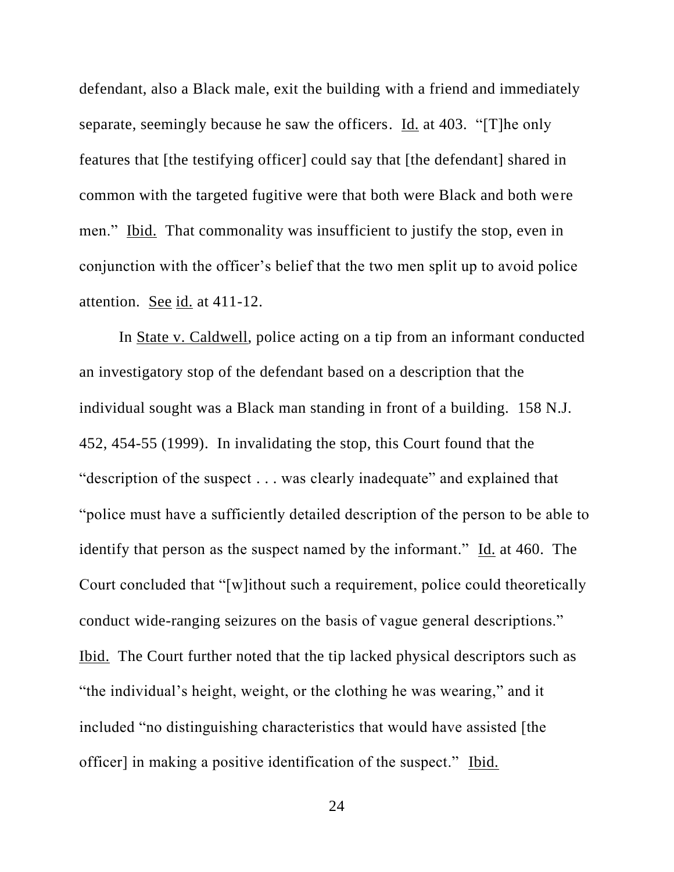defendant, also a Black male, exit the building with a friend and immediately separate, seemingly because he saw the officers. Id. at 403. "[T]he only features that [the testifying officer] could say that [the defendant] shared in common with the targeted fugitive were that both were Black and both were men." Ibid. That commonality was insufficient to justify the stop, even in conjunction with the officer's belief that the two men split up to avoid police attention. See id. at 411-12.

In State v. Caldwell, police acting on a tip from an informant conducted an investigatory stop of the defendant based on a description that the individual sought was a Black man standing in front of a building. 158 N.J. 452, 454-55 (1999). In invalidating the stop, this Court found that the "description of the suspect . . . was clearly inadequate" and explained that "police must have a sufficiently detailed description of the person to be able to identify that person as the suspect named by the informant." Id. at 460. The Court concluded that "[w]ithout such a requirement, police could theoretically conduct wide-ranging seizures on the basis of vague general descriptions." Ibid. The Court further noted that the tip lacked physical descriptors such as "the individual's height, weight, or the clothing he was wearing," and it included "no distinguishing characteristics that would have assisted [the officer] in making a positive identification of the suspect." Ibid.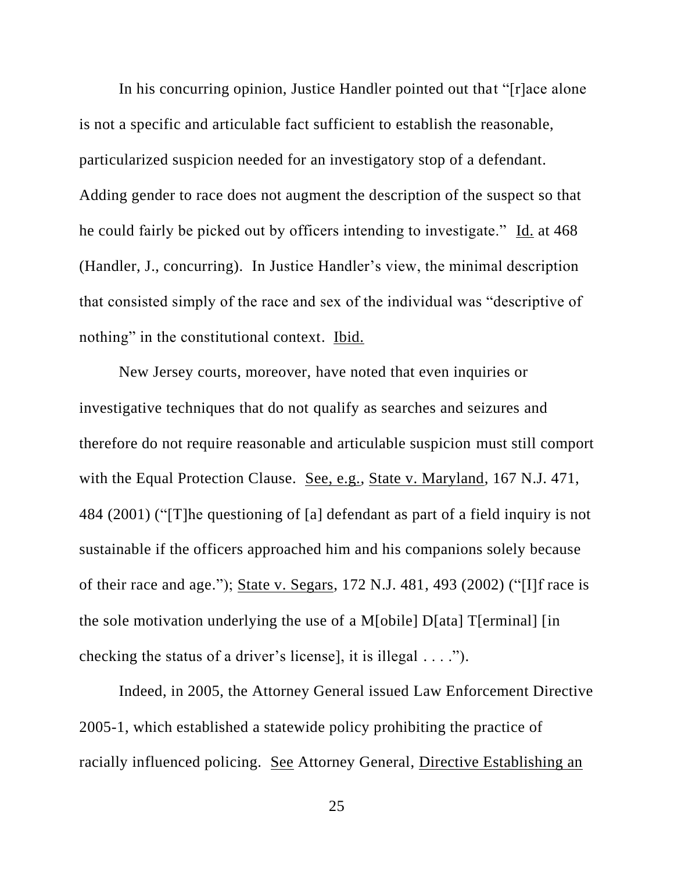In his concurring opinion, Justice Handler pointed out that "[r]ace alone is not a specific and articulable fact sufficient to establish the reasonable, particularized suspicion needed for an investigatory stop of a defendant. Adding gender to race does not augment the description of the suspect so that he could fairly be picked out by officers intending to investigate." Id. at 468 (Handler, J., concurring). In Justice Handler's view, the minimal description that consisted simply of the race and sex of the individual was "descriptive of nothing" in the constitutional context. Ibid.

New Jersey courts, moreover, have noted that even inquiries or investigative techniques that do not qualify as searches and seizures and therefore do not require reasonable and articulable suspicion must still comport with the Equal Protection Clause. See, e.g., State v. Maryland, 167 N.J. 471, 484 (2001) ("[T]he questioning of [a] defendant as part of a field inquiry is not sustainable if the officers approached him and his companions solely because of their race and age."); State v. Segars, 172 N.J. 481, 493 (2002) ("[I]f race is the sole motivation underlying the use of a M[obile] D[ata] T[erminal] [in checking the status of a driver's license], it is illegal . . . .").

Indeed, in 2005, the Attorney General issued Law Enforcement Directive 2005-1, which established a statewide policy prohibiting the practice of racially influenced policing. See Attorney General, Directive Establishing an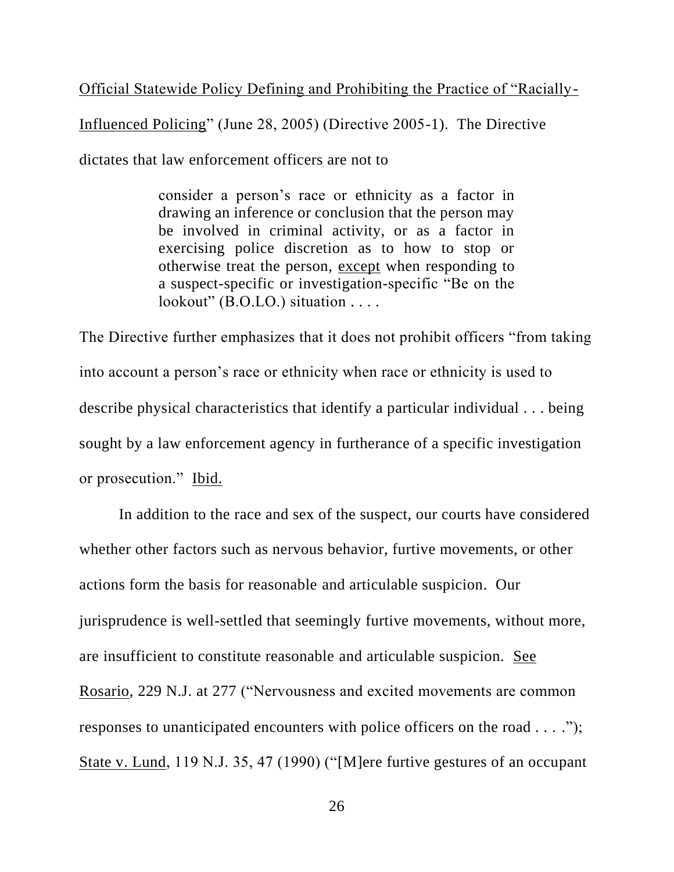Official Statewide Policy Defining and Prohibiting the Practice of "Racially-

Influenced Policing" (June 28, 2005) (Directive 2005-1). The Directive dictates that law enforcement officers are not to

> consider a person's race or ethnicity as a factor in drawing an inference or conclusion that the person may be involved in criminal activity, or as a factor in exercising police discretion as to how to stop or otherwise treat the person, except when responding to a suspect-specific or investigation-specific "Be on the lookout" (B.O.LO.) situation . . . .

The Directive further emphasizes that it does not prohibit officers "from taking into account a person's race or ethnicity when race or ethnicity is used to describe physical characteristics that identify a particular individual . . . being sought by a law enforcement agency in furtherance of a specific investigation or prosecution." Ibid.

In addition to the race and sex of the suspect, our courts have considered whether other factors such as nervous behavior, furtive movements, or other actions form the basis for reasonable and articulable suspicion. Our jurisprudence is well-settled that seemingly furtive movements, without more, are insufficient to constitute reasonable and articulable suspicion. See Rosario, 229 N.J. at 277 ("Nervousness and excited movements are common responses to unanticipated encounters with police officers on the road . . . ."); State v. Lund, 119 N.J. 35, 47 (1990) ("[M]ere furtive gestures of an occupant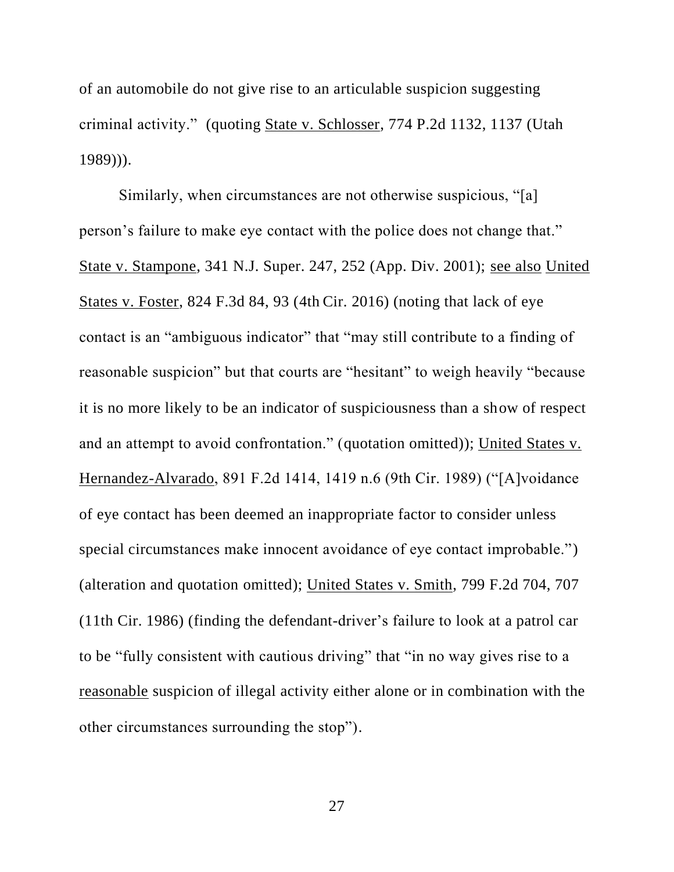of an automobile do not give rise to an articulable suspicion suggesting criminal activity." (quoting State v. Schlosser, 774 P.2d 1132, 1137 (Utah 1989))).

Similarly, when circumstances are not otherwise suspicious, "[a] person's failure to make eye contact with the police does not change that." State v. Stampone, 341 N.J. Super. 247, 252 (App. Div. 2001); see also United States v. Foster, 824 F.3d 84, 93 (4th Cir. 2016) (noting that lack of eye contact is an "ambiguous indicator" that "may still contribute to a finding of reasonable suspicion" but that courts are "hesitant" to weigh heavily "because it is no more likely to be an indicator of suspiciousness than a show of respect and an attempt to avoid confrontation." (quotation omitted)); United States v. Hernandez-Alvarado, 891 F.2d 1414, 1419 n.6 (9th Cir. 1989) ("[A]voidance of eye contact has been deemed an inappropriate factor to consider unless special circumstances make innocent avoidance of eye contact improbable.") (alteration and quotation omitted); United States v. Smith, 799 F.2d 704, 707 (11th Cir. 1986) (finding the defendant-driver's failure to look at a patrol car to be "fully consistent with cautious driving" that "in no way gives rise to a reasonable suspicion of illegal activity either alone or in combination with the other circumstances surrounding the stop").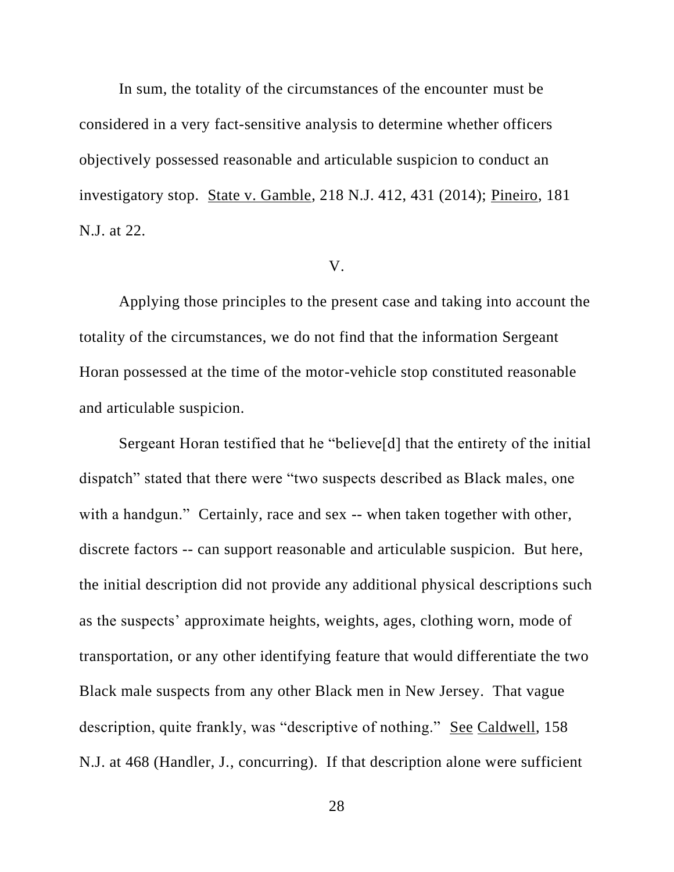In sum, the totality of the circumstances of the encounter must be considered in a very fact-sensitive analysis to determine whether officers objectively possessed reasonable and articulable suspicion to conduct an investigatory stop. State v. Gamble, 218 N.J. 412, 431 (2014); Pineiro, 181 N.J. at 22.

### V.

Applying those principles to the present case and taking into account the totality of the circumstances, we do not find that the information Sergeant Horan possessed at the time of the motor-vehicle stop constituted reasonable and articulable suspicion.

Sergeant Horan testified that he "believe[d] that the entirety of the initial dispatch" stated that there were "two suspects described as Black males, one with a handgun." Certainly, race and sex -- when taken together with other, discrete factors -- can support reasonable and articulable suspicion. But here, the initial description did not provide any additional physical descriptions such as the suspects' approximate heights, weights, ages, clothing worn, mode of transportation, or any other identifying feature that would differentiate the two Black male suspects from any other Black men in New Jersey. That vague description, quite frankly, was "descriptive of nothing." See Caldwell, 158 N.J. at 468 (Handler, J., concurring). If that description alone were sufficient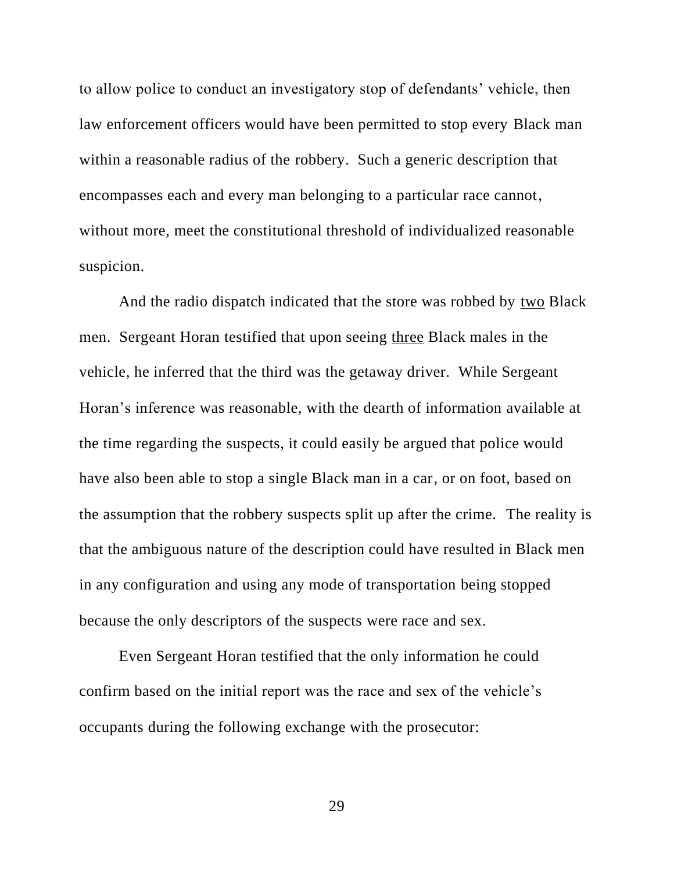to allow police to conduct an investigatory stop of defendants' vehicle, then law enforcement officers would have been permitted to stop every Black man within a reasonable radius of the robbery. Such a generic description that encompasses each and every man belonging to a particular race cannot, without more, meet the constitutional threshold of individualized reasonable suspicion.

And the radio dispatch indicated that the store was robbed by two Black men. Sergeant Horan testified that upon seeing three Black males in the vehicle, he inferred that the third was the getaway driver. While Sergeant Horan's inference was reasonable, with the dearth of information available at the time regarding the suspects, it could easily be argued that police would have also been able to stop a single Black man in a car, or on foot, based on the assumption that the robbery suspects split up after the crime. The reality is that the ambiguous nature of the description could have resulted in Black men in any configuration and using any mode of transportation being stopped because the only descriptors of the suspects were race and sex.

Even Sergeant Horan testified that the only information he could confirm based on the initial report was the race and sex of the vehicle's occupants during the following exchange with the prosecutor: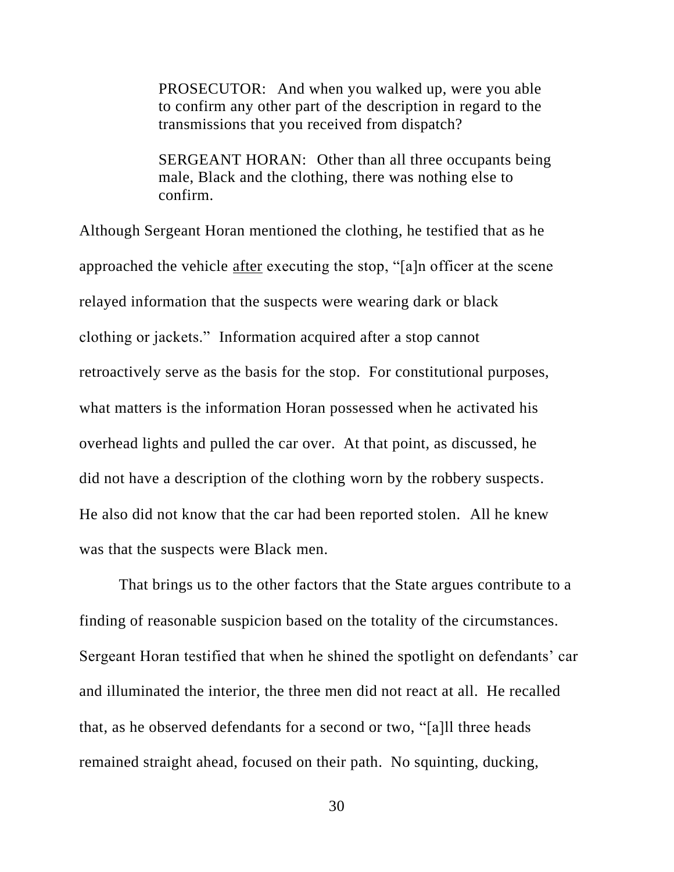PROSECUTOR: And when you walked up, were you able to confirm any other part of the description in regard to the transmissions that you received from dispatch?

SERGEANT HORAN: Other than all three occupants being male, Black and the clothing, there was nothing else to confirm.

Although Sergeant Horan mentioned the clothing, he testified that as he approached the vehicle after executing the stop, "[a]n officer at the scene relayed information that the suspects were wearing dark or black clothing or jackets." Information acquired after a stop cannot retroactively serve as the basis for the stop. For constitutional purposes, what matters is the information Horan possessed when he activated his overhead lights and pulled the car over. At that point, as discussed, he did not have a description of the clothing worn by the robbery suspects. He also did not know that the car had been reported stolen. All he knew was that the suspects were Black men.

That brings us to the other factors that the State argues contribute to a finding of reasonable suspicion based on the totality of the circumstances. Sergeant Horan testified that when he shined the spotlight on defendants' car and illuminated the interior, the three men did not react at all. He recalled that, as he observed defendants for a second or two, "[a]ll three heads remained straight ahead, focused on their path. No squinting, ducking,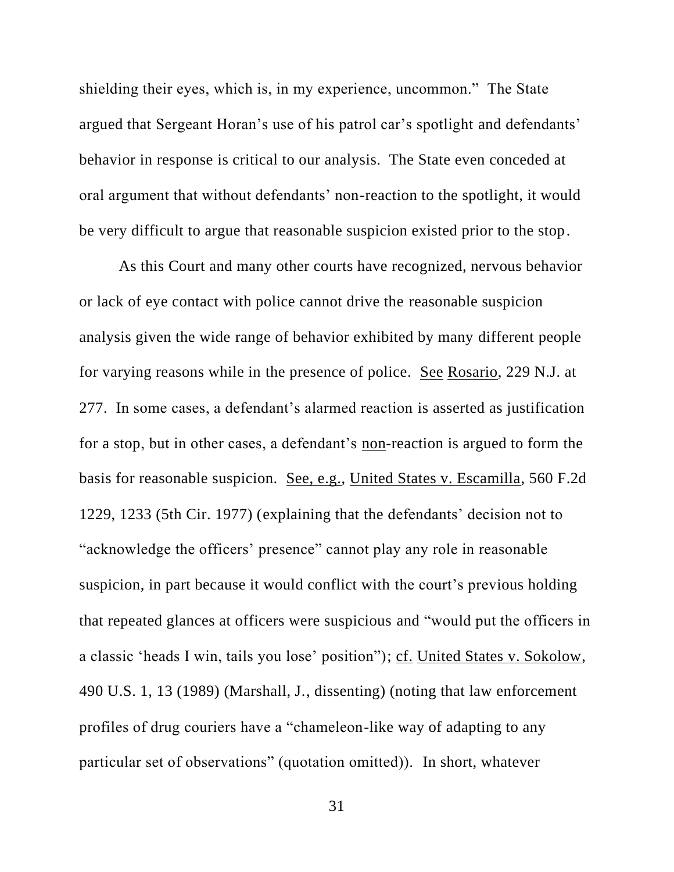shielding their eyes, which is, in my experience, uncommon." The State argued that Sergeant Horan's use of his patrol car's spotlight and defendants' behavior in response is critical to our analysis. The State even conceded at oral argument that without defendants' non-reaction to the spotlight, it would be very difficult to argue that reasonable suspicion existed prior to the stop.

As this Court and many other courts have recognized, nervous behavior or lack of eye contact with police cannot drive the reasonable suspicion analysis given the wide range of behavior exhibited by many different people for varying reasons while in the presence of police. See Rosario, 229 N.J. at 277. In some cases, a defendant's alarmed reaction is asserted as justification for a stop, but in other cases, a defendant's non-reaction is argued to form the basis for reasonable suspicion. See, e.g., United States v. Escamilla, 560 F.2d 1229, 1233 (5th Cir. 1977) (explaining that the defendants' decision not to "acknowledge the officers' presence" cannot play any role in reasonable suspicion, in part because it would conflict with the court's previous holding that repeated glances at officers were suspicious and "would put the officers in a classic 'heads I win, tails you lose' position"); cf. United States v. Sokolow, 490 U.S. 1, 13 (1989) (Marshall, J., dissenting) (noting that law enforcement profiles of drug couriers have a "chameleon-like way of adapting to any particular set of observations" (quotation omitted)). In short, whatever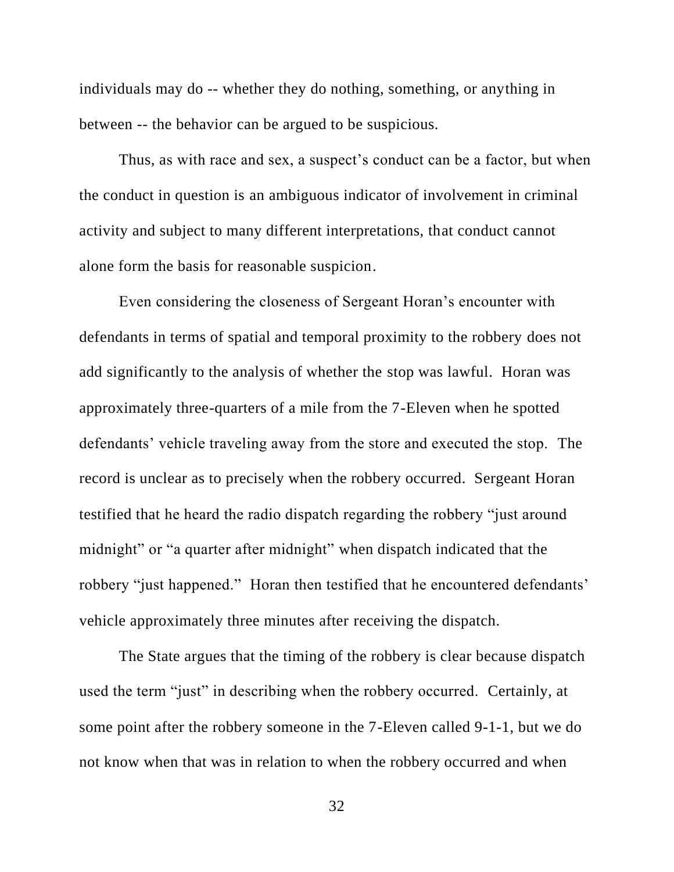individuals may do -- whether they do nothing, something, or anything in between -- the behavior can be argued to be suspicious.

Thus, as with race and sex, a suspect's conduct can be a factor, but when the conduct in question is an ambiguous indicator of involvement in criminal activity and subject to many different interpretations, that conduct cannot alone form the basis for reasonable suspicion.

Even considering the closeness of Sergeant Horan's encounter with defendants in terms of spatial and temporal proximity to the robbery does not add significantly to the analysis of whether the stop was lawful. Horan was approximately three-quarters of a mile from the 7-Eleven when he spotted defendants' vehicle traveling away from the store and executed the stop. The record is unclear as to precisely when the robbery occurred. Sergeant Horan testified that he heard the radio dispatch regarding the robbery "just around midnight" or "a quarter after midnight" when dispatch indicated that the robbery "just happened." Horan then testified that he encountered defendants' vehicle approximately three minutes after receiving the dispatch.

The State argues that the timing of the robbery is clear because dispatch used the term "just" in describing when the robbery occurred. Certainly, at some point after the robbery someone in the 7-Eleven called 9-1-1, but we do not know when that was in relation to when the robbery occurred and when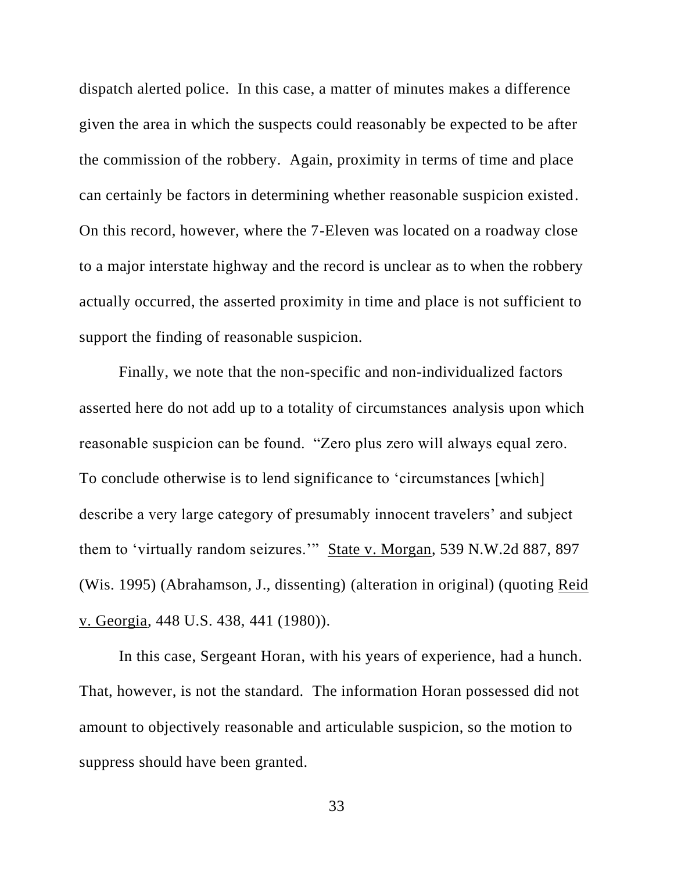dispatch alerted police. In this case, a matter of minutes makes a difference given the area in which the suspects could reasonably be expected to be after the commission of the robbery. Again, proximity in terms of time and place can certainly be factors in determining whether reasonable suspicion existed. On this record, however, where the 7-Eleven was located on a roadway close to a major interstate highway and the record is unclear as to when the robbery actually occurred, the asserted proximity in time and place is not sufficient to support the finding of reasonable suspicion.

Finally, we note that the non-specific and non-individualized factors asserted here do not add up to a totality of circumstances analysis upon which reasonable suspicion can be found. "Zero plus zero will always equal zero. To conclude otherwise is to lend significance to 'circumstances [which] describe a very large category of presumably innocent travelers' and subject them to 'virtually random seizures.'" State v. Morgan, 539 N.W.2d 887, 897 (Wis. 1995) (Abrahamson, J., dissenting) (alteration in original) (quoting Reid v. Georgia, 448 U.S. 438, 441 (1980)).

In this case, Sergeant Horan, with his years of experience, had a hunch. That, however, is not the standard. The information Horan possessed did not amount to objectively reasonable and articulable suspicion, so the motion to suppress should have been granted.